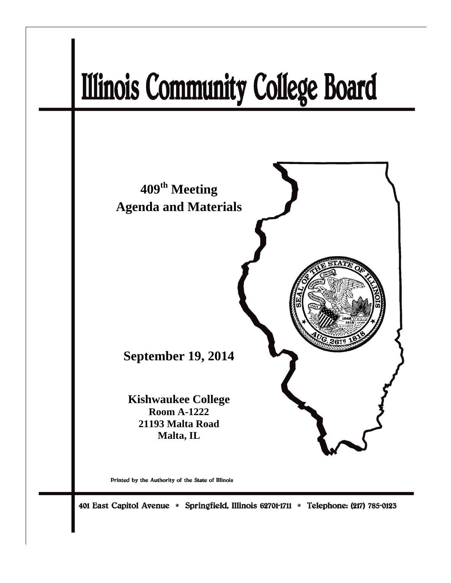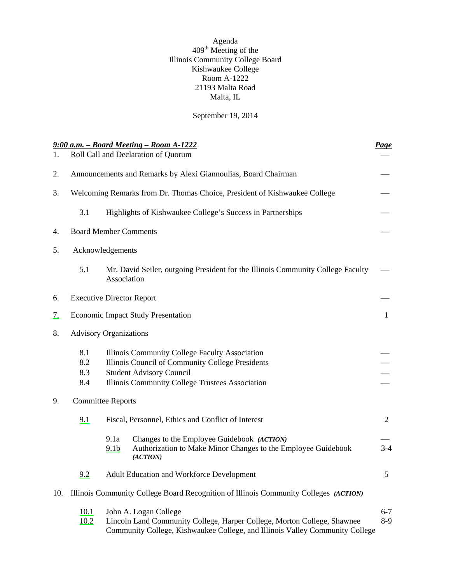Agenda  $409<sup>th</sup>$  Meeting of the Illinois Community College Board Kishwaukee College Room A-1222 21193 Malta Road Malta, IL

September 19, 2014

<span id="page-1-0"></span>

| 1.        |                                                                           | 9:00 a.m. - Board Meeting - Room A-1222<br>Roll Call and Declaration of Quorum                                                                                                           | <b>Page</b>      |  |  |
|-----------|---------------------------------------------------------------------------|------------------------------------------------------------------------------------------------------------------------------------------------------------------------------------------|------------------|--|--|
| 2.        | Announcements and Remarks by Alexi Giannoulias, Board Chairman            |                                                                                                                                                                                          |                  |  |  |
| 3.        | Welcoming Remarks from Dr. Thomas Choice, President of Kishwaukee College |                                                                                                                                                                                          |                  |  |  |
|           | 3.1                                                                       | Highlights of Kishwaukee College's Success in Partnerships                                                                                                                               |                  |  |  |
| 4.        |                                                                           | <b>Board Member Comments</b>                                                                                                                                                             |                  |  |  |
| 5.        | Acknowledgements                                                          |                                                                                                                                                                                          |                  |  |  |
|           | 5.1                                                                       | Mr. David Seiler, outgoing President for the Illinois Community College Faculty<br>Association                                                                                           |                  |  |  |
| 6.        |                                                                           | <b>Executive Director Report</b>                                                                                                                                                         |                  |  |  |
| <u>7.</u> | <b>Economic Impact Study Presentation</b>                                 |                                                                                                                                                                                          |                  |  |  |
| 8.        | <b>Advisory Organizations</b>                                             |                                                                                                                                                                                          |                  |  |  |
|           | 8.1<br>8.2<br>8.3<br>8.4                                                  | Illinois Community College Faculty Association<br>Illinois Council of Community College Presidents<br><b>Student Advisory Council</b><br>Illinois Community College Trustees Association |                  |  |  |
| 9.        | <b>Committee Reports</b>                                                  |                                                                                                                                                                                          |                  |  |  |
|           | 9.1                                                                       | Fiscal, Personnel, Ethics and Conflict of Interest                                                                                                                                       | $\overline{2}$   |  |  |
|           |                                                                           | Changes to the Employee Guidebook (ACTION)<br>9.1a<br>Authorization to Make Minor Changes to the Employee Guidebook<br>9.1 <sub>b</sub><br>(ACTION)                                      | $3-4$            |  |  |
|           | 9.2                                                                       | Adult Education and Workforce Development                                                                                                                                                | 5                |  |  |
| 10.       |                                                                           | Illinois Community College Board Recognition of Illinois Community Colleges (ACTION)                                                                                                     |                  |  |  |
|           | 10.1<br>10.2                                                              | John A. Logan College<br>Lincoln Land Community College, Harper College, Morton College, Shawnee<br>Community College, Kishwaukee College, and Illinois Valley Community College         | $6 - 7$<br>$8-9$ |  |  |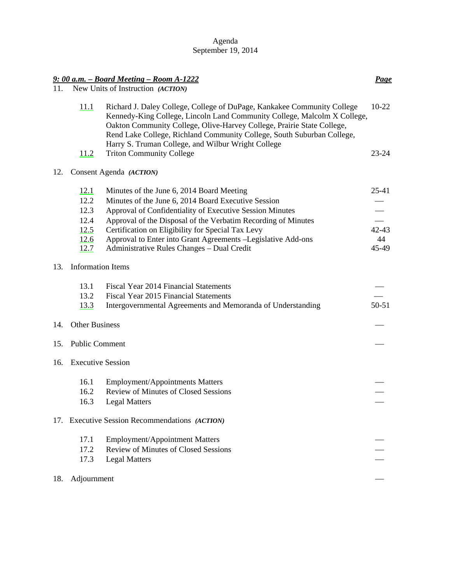| Agenda             |
|--------------------|
| September 19, 2014 |

|     |                                   | $9:00$ a.m. - Board Meeting - Room A-1222                                                                                                                                                                                                                                                                                                                     | <b>Page</b> |  |  |
|-----|-----------------------------------|---------------------------------------------------------------------------------------------------------------------------------------------------------------------------------------------------------------------------------------------------------------------------------------------------------------------------------------------------------------|-------------|--|--|
| 11. | New Units of Instruction (ACTION) |                                                                                                                                                                                                                                                                                                                                                               |             |  |  |
|     | 11.1                              | Richard J. Daley College, College of DuPage, Kankakee Community College<br>Kennedy-King College, Lincoln Land Community College, Malcolm X College,<br>Oakton Community College, Olive-Harvey College, Prairie State College,<br>Rend Lake College, Richland Community College, South Suburban College,<br>Harry S. Truman College, and Wilbur Wright College | $10-22$     |  |  |
|     | 11.2                              | <b>Triton Community College</b>                                                                                                                                                                                                                                                                                                                               | $23 - 24$   |  |  |
| 12. |                                   | Consent Agenda (ACTION)                                                                                                                                                                                                                                                                                                                                       |             |  |  |
|     | 12.1                              | Minutes of the June 6, 2014 Board Meeting                                                                                                                                                                                                                                                                                                                     | $25-41$     |  |  |
|     | 12.2                              | Minutes of the June 6, 2014 Board Executive Session                                                                                                                                                                                                                                                                                                           |             |  |  |
|     | 12.3                              | Approval of Confidentiality of Executive Session Minutes                                                                                                                                                                                                                                                                                                      |             |  |  |
|     | 12.4                              | Approval of the Disposal of the Verbatim Recording of Minutes                                                                                                                                                                                                                                                                                                 |             |  |  |
|     | 12.5                              | Certification on Eligibility for Special Tax Levy                                                                                                                                                                                                                                                                                                             | $42 - 43$   |  |  |
|     | <u>12.6</u>                       | Approval to Enter into Grant Agreements - Legislative Add-ons                                                                                                                                                                                                                                                                                                 | 44          |  |  |
|     | 12.7                              | Administrative Rules Changes - Dual Credit                                                                                                                                                                                                                                                                                                                    | 45-49       |  |  |
| 13. | <b>Information Items</b>          |                                                                                                                                                                                                                                                                                                                                                               |             |  |  |
|     | 13.1                              | Fiscal Year 2014 Financial Statements                                                                                                                                                                                                                                                                                                                         |             |  |  |
|     | 13.2                              | <b>Fiscal Year 2015 Financial Statements</b>                                                                                                                                                                                                                                                                                                                  |             |  |  |
|     | 13.3                              | Intergovernmental Agreements and Memoranda of Understanding                                                                                                                                                                                                                                                                                                   | $50 - 51$   |  |  |
| 14. | <b>Other Business</b>             |                                                                                                                                                                                                                                                                                                                                                               |             |  |  |
| 15. | <b>Public Comment</b>             |                                                                                                                                                                                                                                                                                                                                                               |             |  |  |
| 16. | <b>Executive Session</b>          |                                                                                                                                                                                                                                                                                                                                                               |             |  |  |
|     | 16.1                              | <b>Employment/Appointments Matters</b>                                                                                                                                                                                                                                                                                                                        |             |  |  |
|     | 16.2                              | <b>Review of Minutes of Closed Sessions</b>                                                                                                                                                                                                                                                                                                                   |             |  |  |
|     | 16.3                              | <b>Legal Matters</b>                                                                                                                                                                                                                                                                                                                                          |             |  |  |
|     |                                   | 17. Executive Session Recommendations (ACTION)                                                                                                                                                                                                                                                                                                                |             |  |  |
|     | 17.1                              | <b>Employment/Appointment Matters</b>                                                                                                                                                                                                                                                                                                                         |             |  |  |
|     | 17.2                              | <b>Review of Minutes of Closed Sessions</b>                                                                                                                                                                                                                                                                                                                   |             |  |  |
|     | 17.3                              | <b>Legal Matters</b>                                                                                                                                                                                                                                                                                                                                          |             |  |  |
| 18. | Adjournment                       |                                                                                                                                                                                                                                                                                                                                                               |             |  |  |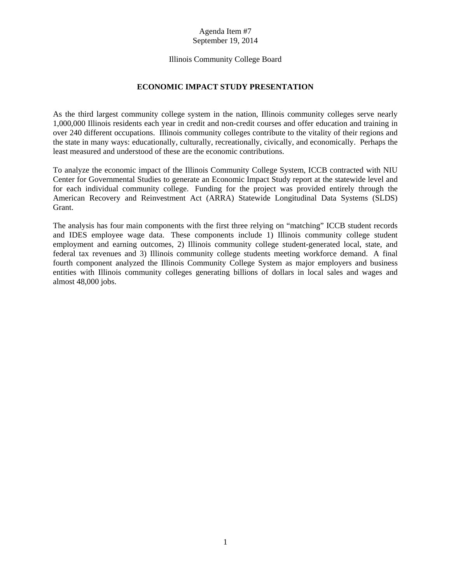# [Illinois Community College Board](#page-1-0)

# **ECONOMIC IMPACT STUDY PRESENTATION**

<span id="page-3-0"></span>As the third largest community college system in the nation, Illinois community colleges serve nearly 1,000,000 Illinois residents each year in credit and non-credit courses and offer education and training in over 240 different occupations. Illinois community colleges contribute to the vitality of their regions and the state in many ways: educationally, culturally, recreationally, civically, and economically. Perhaps the least measured and understood of these are the economic contributions.

To analyze the economic impact of the Illinois Community College System, ICCB contracted with NIU Center for Governmental Studies to generate an Economic Impact Study report at the statewide level and for each individual community college. Funding for the project was provided entirely through the American Recovery and Reinvestment Act (ARRA) Statewide Longitudinal Data Systems (SLDS) Grant.

The analysis has four main components with the first three relying on "matching" ICCB student records and IDES employee wage data. These components include 1) Illinois community college student employment and earning outcomes, 2) Illinois community college student-generated local, state, and federal tax revenues and 3) Illinois community college students meeting workforce demand. A final fourth component analyzed the Illinois Community College System as major employers and business entities with Illinois community colleges generating billions of dollars in local sales and wages and almost 48,000 jobs.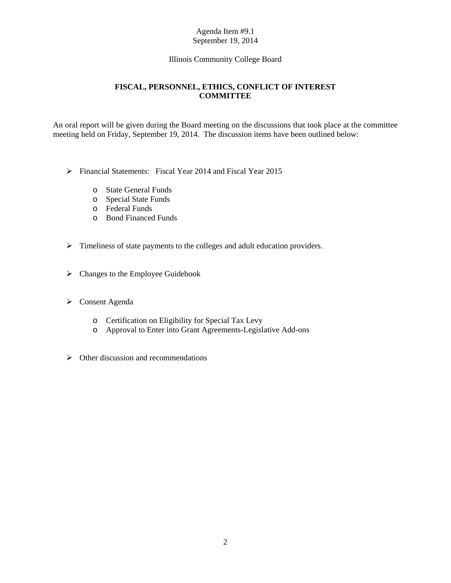# [Illinois Community College Board](#page-1-0)

# **FISCAL, PERSONNEL, ETHICS, CONFLICT OF INTEREST COMMITTEE**

<span id="page-4-0"></span>An oral report will be given during the Board meeting on the discussions that took place at the committee meeting held on Friday, September 19, 2014. The discussion items have been outlined below:

- Financial Statements: Fiscal Year 2014 and Fiscal Year 2015
	- o State General Funds
	- o Special State Funds
	- o Federal Funds
	- o Bond Financed Funds
- $\triangleright$  Timeliness of state payments to the colleges and adult education providers.
- $\triangleright$  Changes to the Employee Guidebook
- Consent Agenda
	- o Certification on Eligibility for Special Tax Levy
	- o Approval to Enter into Grant Agreements-Legislative Add-ons
- $\triangleright$  Other discussion and recommendations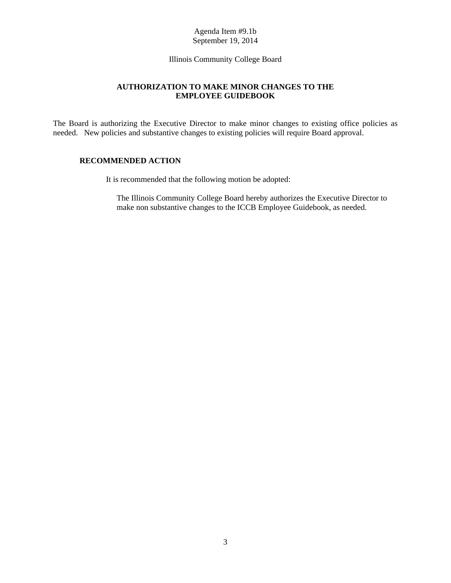[Illinois Community College Board](#page-1-0)

# **AUTHORIZATION TO MAKE MINOR CHANGES TO THE EMPLOYEE GUIDEBOOK**

<span id="page-5-0"></span>The Board is authorizing the Executive Director to make minor changes to existing office policies as needed. New policies and substantive changes to existing policies will require Board approval.

# **RECOMMENDED ACTION**

It is recommended that the following motion be adopted:

The Illinois Community College Board hereby authorizes the Executive Director to make non substantive changes to the ICCB Employee Guidebook, as needed.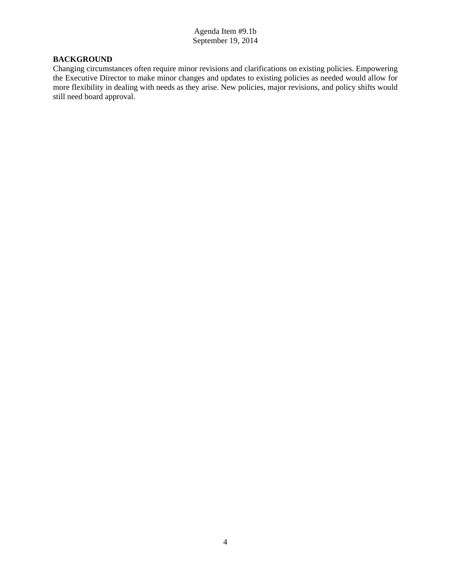# **BACKGROUND**

Changing circumstances often require minor revisions and clarifications on existing policies. Empowering the Executive Director to make minor changes and updates to existing policies as needed would allow for more flexibility in dealing with needs as they arise. New policies, major revisions, and policy shifts would still need board approval.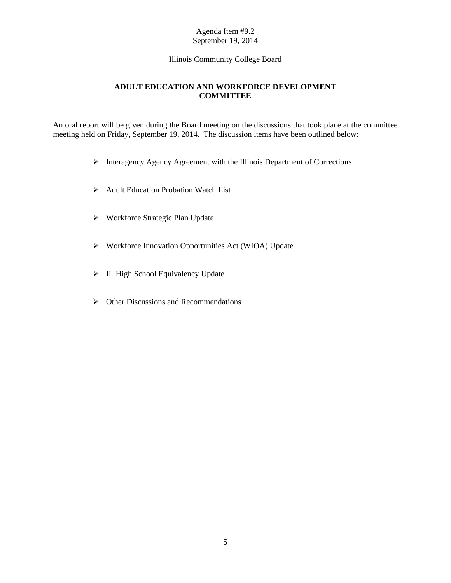[Illinois Community College Board](#page-1-0)

# **ADULT EDUCATION AND WORKFORCE DEVELOPMENT COMMITTEE**

<span id="page-7-0"></span>An oral report will be given during the Board meeting on the discussions that took place at the committee meeting held on Friday, September 19, 2014. The discussion items have been outlined below:

- $\triangleright$  Interagency Agency Agreement with the Illinois Department of Corrections
- $\triangleright$  Adult Education Probation Watch List
- Workforce Strategic Plan Update
- Workforce Innovation Opportunities Act (WIOA) Update
- > IL High School Equivalency Update
- $\triangleright$  Other Discussions and Recommendations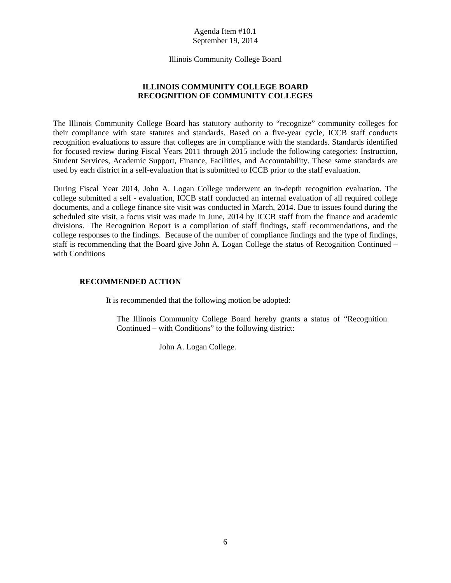[Illinois Community College Board](#page-1-0)

# **ILLINOIS COMMUNITY COLLEGE BOARD RECOGNITION OF COMMUNITY COLLEGES**

<span id="page-8-0"></span>The Illinois Community College Board has statutory authority to "recognize" community colleges for their compliance with state statutes and standards. Based on a five-year cycle, ICCB staff conducts recognition evaluations to assure that colleges are in compliance with the standards. Standards identified for focused review during Fiscal Years 2011 through 2015 include the following categories: Instruction, Student Services, Academic Support, Finance, Facilities, and Accountability. These same standards are used by each district in a self-evaluation that is submitted to ICCB prior to the staff evaluation.

During Fiscal Year 2014, John A. Logan College underwent an in-depth recognition evaluation. The college submitted a self - evaluation, ICCB staff conducted an internal evaluation of all required college documents, and a college finance site visit was conducted in March, 2014. Due to issues found during the scheduled site visit, a focus visit was made in June, 2014 by ICCB staff from the finance and academic divisions. The Recognition Report is a compilation of staff findings, staff recommendations, and the college responses to the findings. Because of the number of compliance findings and the type of findings, staff is recommending that the Board give John A. Logan College the status of Recognition Continued – with Conditions

# **RECOMMENDED ACTION**

It is recommended that the following motion be adopted:

The Illinois Community College Board hereby grants a status of "Recognition Continued – with Conditions" to the following district:

John A. Logan College.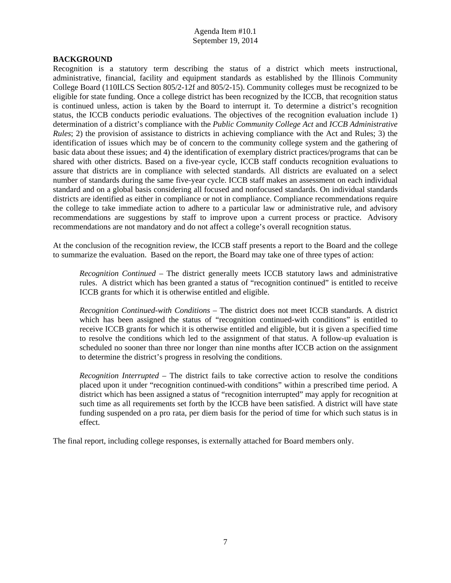# **BACKGROUND**

Recognition is a statutory term describing the status of a district which meets instructional, administrative, financial, facility and equipment standards as established by the Illinois Community College Board (110ILCS Section 805/2-12f and 805/2-15). Community colleges must be recognized to be eligible for state funding. Once a college district has been recognized by the ICCB, that recognition status is continued unless, action is taken by the Board to interrupt it. To determine a district's recognition status, the ICCB conducts periodic evaluations. The objectives of the recognition evaluation include 1) determination of a district's compliance with the *Public Community College Act* and *ICCB Administrative Rules*; 2) the provision of assistance to districts in achieving compliance with the Act and Rules; 3) the identification of issues which may be of concern to the community college system and the gathering of basic data about these issues; and 4) the identification of exemplary district practices/programs that can be shared with other districts. Based on a five-year cycle, ICCB staff conducts recognition evaluations to assure that districts are in compliance with selected standards. All districts are evaluated on a select number of standards during the same five-year cycle. ICCB staff makes an assessment on each individual standard and on a global basis considering all focused and nonfocused standards. On individual standards districts are identified as either in compliance or not in compliance. Compliance recommendations require the college to take immediate action to adhere to a particular law or administrative rule, and advisory recommendations are suggestions by staff to improve upon a current process or practice. Advisory recommendations are not mandatory and do not affect a college's overall recognition status.

At the conclusion of the recognition review, the ICCB staff presents a report to the Board and the college to summarize the evaluation. Based on the report, the Board may take one of three types of action:

*Recognition Continued* – The district generally meets ICCB statutory laws and administrative rules. A district which has been granted a status of "recognition continued" is entitled to receive ICCB grants for which it is otherwise entitled and eligible.

*Recognition Continued-with Conditions* – The district does not meet ICCB standards. A district which has been assigned the status of "recognition continued-with conditions" is entitled to receive ICCB grants for which it is otherwise entitled and eligible, but it is given a specified time to resolve the conditions which led to the assignment of that status. A follow-up evaluation is scheduled no sooner than three nor longer than nine months after ICCB action on the assignment to determine the district's progress in resolving the conditions.

*Recognition Interrupted* – The district fails to take corrective action to resolve the conditions placed upon it under "recognition continued-with conditions" within a prescribed time period. A district which has been assigned a status of "recognition interrupted" may apply for recognition at such time as all requirements set forth by the ICCB have been satisfied. A district will have state funding suspended on a pro rata, per diem basis for the period of time for which such status is in effect.

The final report, including college responses, is externally attached for Board members only.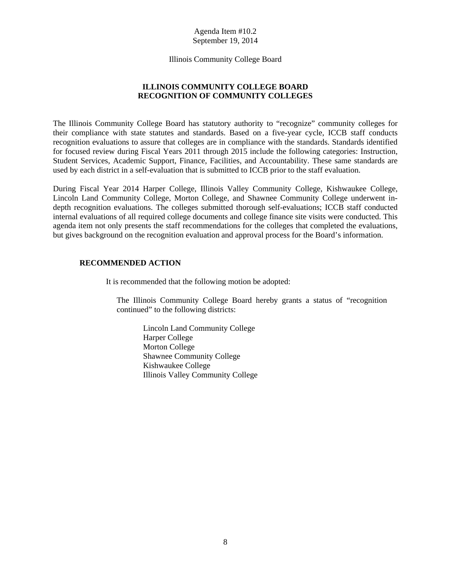[Illinois Community College Board](#page-1-0)

# **ILLINOIS COMMUNITY COLLEGE BOARD RECOGNITION OF COMMUNITY COLLEGES**

<span id="page-10-0"></span>The Illinois Community College Board has statutory authority to "recognize" community colleges for their compliance with state statutes and standards. Based on a five-year cycle, ICCB staff conducts recognition evaluations to assure that colleges are in compliance with the standards. Standards identified for focused review during Fiscal Years 2011 through 2015 include the following categories: Instruction, Student Services, Academic Support, Finance, Facilities, and Accountability. These same standards are used by each district in a self-evaluation that is submitted to ICCB prior to the staff evaluation.

During Fiscal Year 2014 Harper College, Illinois Valley Community College, Kishwaukee College, Lincoln Land Community College, Morton College, and Shawnee Community College underwent indepth recognition evaluations. The colleges submitted thorough self-evaluations; ICCB staff conducted internal evaluations of all required college documents and college finance site visits were conducted. This agenda item not only presents the staff recommendations for the colleges that completed the evaluations, but gives background on the recognition evaluation and approval process for the Board's information.

# **RECOMMENDED ACTION**

It is recommended that the following motion be adopted:

The Illinois Community College Board hereby grants a status of "recognition continued" to the following districts:

Lincoln Land Community College Harper College Morton College Shawnee Community College Kishwaukee College Illinois Valley Community College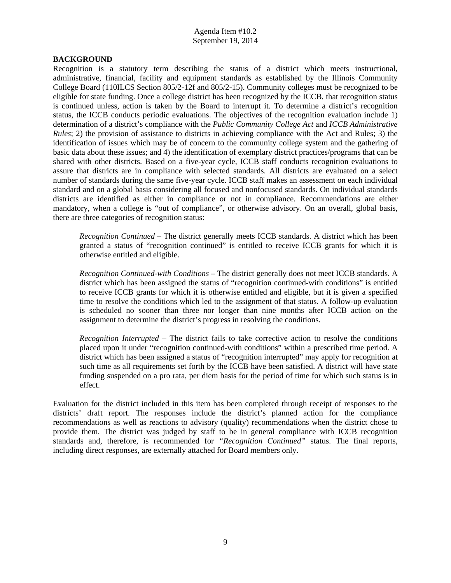### **BACKGROUND**

Recognition is a statutory term describing the status of a district which meets instructional, administrative, financial, facility and equipment standards as established by the Illinois Community College Board (110ILCS Section 805/2-12f and 805/2-15). Community colleges must be recognized to be eligible for state funding. Once a college district has been recognized by the ICCB, that recognition status is continued unless, action is taken by the Board to interrupt it. To determine a district's recognition status, the ICCB conducts periodic evaluations. The objectives of the recognition evaluation include 1) determination of a district's compliance with the *Public Community College Act* and *ICCB Administrative Rules*; 2) the provision of assistance to districts in achieving compliance with the Act and Rules; 3) the identification of issues which may be of concern to the community college system and the gathering of basic data about these issues; and 4) the identification of exemplary district practices/programs that can be shared with other districts. Based on a five-year cycle, ICCB staff conducts recognition evaluations to assure that districts are in compliance with selected standards. All districts are evaluated on a select number of standards during the same five-year cycle. ICCB staff makes an assessment on each individual standard and on a global basis considering all focused and nonfocused standards. On individual standards districts are identified as either in compliance or not in compliance. Recommendations are either mandatory, when a college is "out of compliance", or otherwise advisory. On an overall, global basis, there are three categories of recognition status:

*Recognition Continued* – The district generally meets ICCB standards. A district which has been granted a status of "recognition continued" is entitled to receive ICCB grants for which it is otherwise entitled and eligible.

 *Recognition Continued-with Conditions* – The district generally does not meet ICCB standards. A district which has been assigned the status of "recognition continued-with conditions" is entitled to receive ICCB grants for which it is otherwise entitled and eligible, but it is given a specified time to resolve the conditions which led to the assignment of that status. A follow-up evaluation is scheduled no sooner than three nor longer than nine months after ICCB action on the assignment to determine the district's progress in resolving the conditions.

*Recognition Interrupted* – The district fails to take corrective action to resolve the conditions placed upon it under "recognition continued-with conditions" within a prescribed time period. A district which has been assigned a status of "recognition interrupted" may apply for recognition at such time as all requirements set forth by the ICCB have been satisfied. A district will have state funding suspended on a pro rata, per diem basis for the period of time for which such status is in effect.

Evaluation for the district included in this item has been completed through receipt of responses to the districts' draft report. The responses include the district's planned action for the compliance recommendations as well as reactions to advisory (quality) recommendations when the district chose to provide them. The district was judged by staff to be in general compliance with ICCB recognition standards and, therefore, is recommended for *"Recognition Continued"* status. The final reports, including direct responses, are externally attached for Board members only.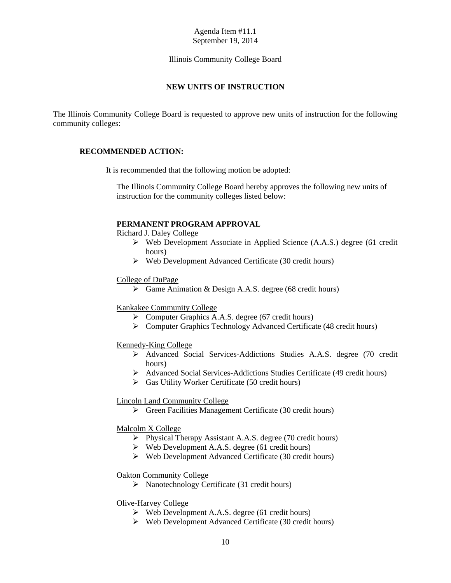[Illinois Community College Board](#page-1-0)

# **NEW UNITS OF INSTRUCTION**

<span id="page-12-0"></span>The Illinois Community College Board is requested to approve new units of instruction for the following community colleges:

### **RECOMMENDED ACTION:**

It is recommended that the following motion be adopted:

The Illinois Community College Board hereby approves the following new units of instruction for the community colleges listed below:

# **PERMANENT PROGRAM APPROVAL**

Richard J. Daley College

- Web Development Associate in Applied Science (A.A.S.) degree (61 credit hours)
- $\triangleright$  Web Development Advanced Certificate (30 credit hours)

#### College of DuPage

 $\triangleright$  Game Animation & Design A.A.S. degree (68 credit hours)

#### Kankakee Community College

- Computer Graphics A.A.S. degree (67 credit hours)
- Computer Graphics Technology Advanced Certificate (48 credit hours)

#### Kennedy-King College

- Advanced Social Services-Addictions Studies A.A.S. degree (70 credit hours)
- Advanced Social Services-Addictions Studies Certificate (49 credit hours)
- $\triangleright$  Gas Utility Worker Certificate (50 credit hours)

#### Lincoln Land Community College

 $\triangleright$  Green Facilities Management Certificate (30 credit hours)

#### Malcolm X College

- $\triangleright$  Physical Therapy Assistant A.A.S. degree (70 credit hours)
- $\triangleright$  Web Development A.A.S. degree (61 credit hours)
- $\triangleright$  Web Development Advanced Certificate (30 credit hours)

#### Oakton Community College

 $\triangleright$  Nanotechnology Certificate (31 credit hours)

# Olive-Harvey College

- $\triangleright$  Web Development A.A.S. degree (61 credit hours)
- $\triangleright$  Web Development Advanced Certificate (30 credit hours)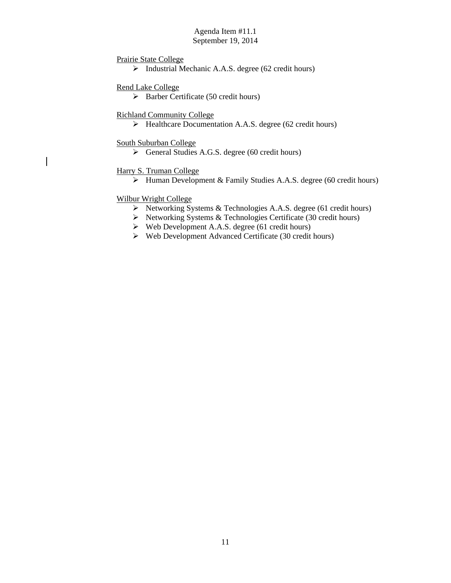# Prairie State College

 $\triangleright$  Industrial Mechanic A.A.S. degree (62 credit hours)

# Rend Lake College

 $\triangleright$  Barber Certificate (50 credit hours)

# Richland Community College

 $\blacktriangleright$  Healthcare Documentation A.A.S. degree (62 credit hours)

### South Suburban College

 $\overline{\phantom{a}}$ 

General Studies A.G.S. degree (60 credit hours)

# Harry S. Truman College

 $\triangleright$  Human Development & Family Studies A.A.S. degree (60 credit hours)

# Wilbur Wright College

- ▶ Networking Systems & Technologies A.A.S. degree (61 credit hours)
- $\triangleright$  Networking Systems & Technologies Certificate (30 credit hours)
- $\triangleright$  Web Development A.A.S. degree (61 credit hours)
- Web Development Advanced Certificate (30 credit hours)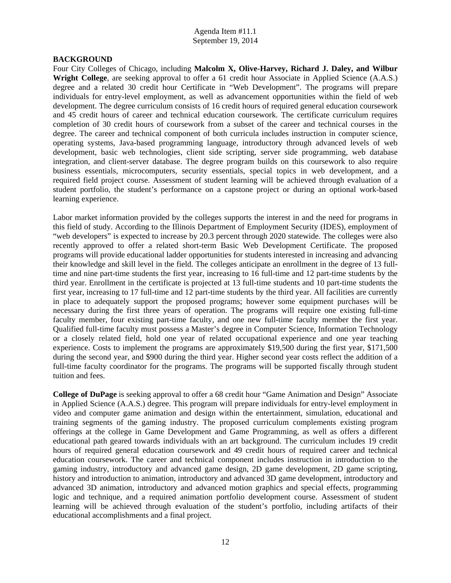#### **BACKGROUND**

Four City Colleges of Chicago, including **Malcolm X, Olive-Harvey, Richard J. Daley, and Wilbur Wright College**, are seeking approval to offer a 61 credit hour Associate in Applied Science (A.A.S.) degree and a related 30 credit hour Certificate in "Web Development". The programs will prepare individuals for entry-level employment, as well as advancement opportunities within the field of web development. The degree curriculum consists of 16 credit hours of required general education coursework and 45 credit hours of career and technical education coursework. The certificate curriculum requires completion of 30 credit hours of coursework from a subset of the career and technical courses in the degree. The career and technical component of both curricula includes instruction in computer science, operating systems, Java-based programming language, introductory through advanced levels of web development, basic web technologies, client side scripting, server side programming, web database integration, and client-server database. The degree program builds on this coursework to also require business essentials, microcomputers, security essentials, special topics in web development, and a required field project course. Assessment of student learning will be achieved through evaluation of a student portfolio, the student's performance on a capstone project or during an optional work-based learning experience.

Labor market information provided by the colleges supports the interest in and the need for programs in this field of study. According to the Illinois Department of Employment Security (IDES), employment of "web developers" is expected to increase by 20.3 percent through 2020 statewide. The colleges were also recently approved to offer a related short-term Basic Web Development Certificate. The proposed programs will provide educational ladder opportunities for students interested in increasing and advancing their knowledge and skill level in the field. The colleges anticipate an enrollment in the degree of 13 fulltime and nine part-time students the first year, increasing to 16 full-time and 12 part-time students by the third year. Enrollment in the certificate is projected at 13 full-time students and 10 part-time students the first year, increasing to 17 full-time and 12 part-time students by the third year. All facilities are currently in place to adequately support the proposed programs; however some equipment purchases will be necessary during the first three years of operation. The programs will require one existing full-time faculty member, four existing part-time faculty, and one new full-time faculty member the first year. Qualified full-time faculty must possess a Master's degree in Computer Science, Information Technology or a closely related field, hold one year of related occupational experience and one year teaching experience. Costs to implement the programs are approximately \$19,500 during the first year, \$171,500 during the second year, and \$900 during the third year. Higher second year costs reflect the addition of a full-time faculty coordinator for the programs. The programs will be supported fiscally through student tuition and fees.

**College of DuPage** is seeking approval to offer a 68 credit hour "Game Animation and Design" Associate in Applied Science (A.A.S.) degree. This program will prepare individuals for entry-level employment in video and computer game animation and design within the entertainment, simulation, educational and training segments of the gaming industry. The proposed curriculum complements existing program offerings at the college in Game Development and Game Programming, as well as offers a different educational path geared towards individuals with an art background. The curriculum includes 19 credit hours of required general education coursework and 49 credit hours of required career and technical education coursework. The career and technical component includes instruction in introduction to the gaming industry, introductory and advanced game design, 2D game development, 2D game scripting, history and introduction to animation, introductory and advanced 3D game development, introductory and advanced 3D animation, introductory and advanced motion graphics and special effects, programming logic and technique, and a required animation portfolio development course. Assessment of student learning will be achieved through evaluation of the student's portfolio, including artifacts of their educational accomplishments and a final project.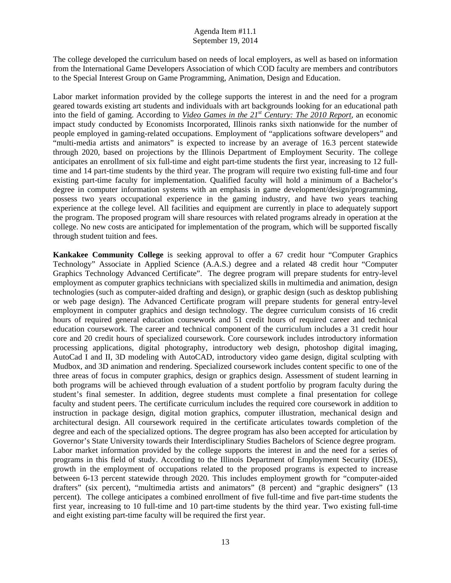The college developed the curriculum based on needs of local employers, as well as based on information from the International Game Developers Association of which COD faculty are members and contributors to the Special Interest Group on Game Programming, Animation, Design and Education.

Labor market information provided by the college supports the interest in and the need for a program geared towards existing art students and individuals with art backgrounds looking for an educational path into the field of gaming. According to *Video Games in the 21st Century: The 2010 Report*, an economic impact study conducted by Economists Incorporated, Illinois ranks sixth nationwide for the number of people employed in gaming-related occupations. Employment of "applications software developers" and "multi-media artists and animators" is expected to increase by an average of 16.3 percent statewide through 2020, based on projections by the Illinois Department of Employment Security. The college anticipates an enrollment of six full-time and eight part-time students the first year, increasing to 12 fulltime and 14 part-time students by the third year. The program will require two existing full-time and four existing part-time faculty for implementation. Qualified faculty will hold a minimum of a Bachelor's degree in computer information systems with an emphasis in game development/design/programming, possess two years occupational experience in the gaming industry, and have two years teaching experience at the college level. All facilities and equipment are currently in place to adequately support the program. The proposed program will share resources with related programs already in operation at the college. No new costs are anticipated for implementation of the program, which will be supported fiscally through student tuition and fees.

**Kankakee Community College** is seeking approval to offer a 67 credit hour "Computer Graphics Technology" Associate in Applied Science (A.A.S.) degree and a related 48 credit hour "Computer Graphics Technology Advanced Certificate". The degree program will prepare students for entry-level employment as computer graphics technicians with specialized skills in multimedia and animation, design technologies (such as computer-aided drafting and design), or graphic design (such as desktop publishing or web page design). The Advanced Certificate program will prepare students for general entry-level employment in computer graphics and design technology. The degree curriculum consists of 16 credit hours of required general education coursework and 51 credit hours of required career and technical education coursework. The career and technical component of the curriculum includes a 31 credit hour core and 20 credit hours of specialized coursework. Core coursework includes introductory information processing applications, digital photography, introductory web design, photoshop digital imaging, AutoCad I and II, 3D modeling with AutoCAD, introductory video game design, digital sculpting with Mudbox, and 3D animation and rendering. Specialized coursework includes content specific to one of the three areas of focus in computer graphics, design or graphics design. Assessment of student learning in both programs will be achieved through evaluation of a student portfolio by program faculty during the student's final semester. In addition, degree students must complete a final presentation for college faculty and student peers. The certificate curriculum includes the required core coursework in addition to instruction in package design, digital motion graphics, computer illustration, mechanical design and architectural design. All coursework required in the certificate articulates towards completion of the degree and each of the specialized options. The degree program has also been accepted for articulation by Governor's State University towards their Interdisciplinary Studies Bachelors of Science degree program. Labor market information provided by the college supports the interest in and the need for a series of programs in this field of study. According to the Illinois Department of Employment Security (IDES), growth in the employment of occupations related to the proposed programs is expected to increase between 6-13 percent statewide through 2020. This includes employment growth for "computer-aided drafters" (six percent), "multimedia artists and animators" (8 percent) and "graphic designers" (13 percent). The college anticipates a combined enrollment of five full-time and five part-time students the first year, increasing to 10 full-time and 10 part-time students by the third year. Two existing full-time and eight existing part-time faculty will be required the first year.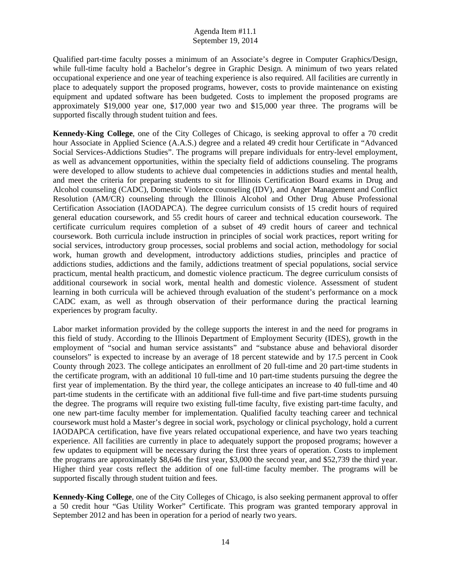Qualified part-time faculty posses a minimum of an Associate's degree in Computer Graphics/Design, while full-time faculty hold a Bachelor's degree in Graphic Design. A minimum of two years related occupational experience and one year of teaching experience is also required. All facilities are currently in place to adequately support the proposed programs, however, costs to provide maintenance on existing equipment and updated software has been budgeted. Costs to implement the proposed programs are approximately \$19,000 year one, \$17,000 year two and \$15,000 year three. The programs will be supported fiscally through student tuition and fees.

**Kennedy-King College**, one of the City Colleges of Chicago, is seeking approval to offer a 70 credit hour Associate in Applied Science (A.A.S.) degree and a related 49 credit hour Certificate in "Advanced Social Services-Addictions Studies". The programs will prepare individuals for entry-level employment, as well as advancement opportunities, within the specialty field of addictions counseling. The programs were developed to allow students to achieve dual competencies in addictions studies and mental health, and meet the criteria for preparing students to sit for Illinois Certification Board exams in Drug and Alcohol counseling (CADC), Domestic Violence counseling (IDV), and Anger Management and Conflict Resolution (AM/CR) counseling through the Illinois Alcohol and Other Drug Abuse Professional Certification Association (IAODAPCA). The degree curriculum consists of 15 credit hours of required general education coursework, and 55 credit hours of career and technical education coursework. The certificate curriculum requires completion of a subset of 49 credit hours of career and technical coursework. Both curricula include instruction in principles of social work practices, report writing for social services, introductory group processes, social problems and social action, methodology for social work, human growth and development, introductory addictions studies, principles and practice of addictions studies, addictions and the family, addictions treatment of special populations, social service practicum, mental health practicum, and domestic violence practicum. The degree curriculum consists of additional coursework in social work, mental health and domestic violence. Assessment of student learning in both curricula will be achieved through evaluation of the student's performance on a mock CADC exam, as well as through observation of their performance during the practical learning experiences by program faculty.

Labor market information provided by the college supports the interest in and the need for programs in this field of study. According to the Illinois Department of Employment Security (IDES), growth in the employment of "social and human service assistants" and "substance abuse and behavioral disorder counselors" is expected to increase by an average of 18 percent statewide and by 17.5 percent in Cook County through 2023. The college anticipates an enrollment of 20 full-time and 20 part-time students in the certificate program, with an additional 10 full-time and 10 part-time students pursuing the degree the first year of implementation. By the third year, the college anticipates an increase to 40 full-time and 40 part-time students in the certificate with an additional five full-time and five part-time students pursuing the degree. The programs will require two existing full-time faculty, five existing part-time faculty, and one new part-time faculty member for implementation. Qualified faculty teaching career and technical coursework must hold a Master's degree in social work, psychology or clinical psychology, hold a current IAODAPCA certification, have five years related occupational experience, and have two years teaching experience. All facilities are currently in place to adequately support the proposed programs; however a few updates to equipment will be necessary during the first three years of operation. Costs to implement the programs are approximately \$8,646 the first year, \$3,000 the second year, and \$52,739 the third year. Higher third year costs reflect the addition of one full-time faculty member. The programs will be supported fiscally through student tuition and fees.

**Kennedy-King College**, one of the City Colleges of Chicago, is also seeking permanent approval to offer a 50 credit hour "Gas Utility Worker" Certificate. This program was granted temporary approval in September 2012 and has been in operation for a period of nearly two years.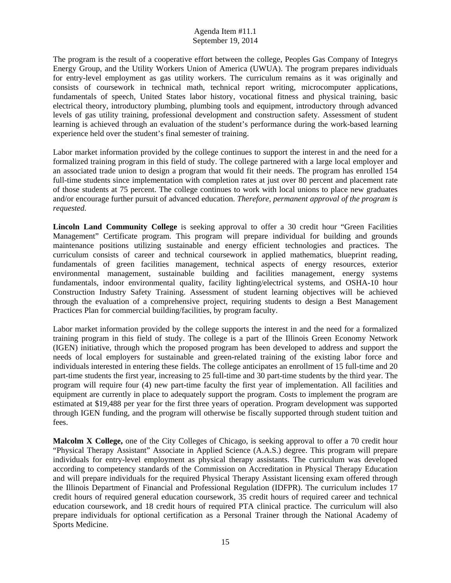The program is the result of a cooperative effort between the college, Peoples Gas Company of Integrys Energy Group, and the Utility Workers Union of America (UWUA). The program prepares individuals for entry-level employment as gas utility workers. The curriculum remains as it was originally and consists of coursework in technical math, technical report writing, microcomputer applications, fundamentals of speech, United States labor history, vocational fitness and physical training, basic electrical theory, introductory plumbing, plumbing tools and equipment, introductory through advanced levels of gas utility training, professional development and construction safety. Assessment of student learning is achieved through an evaluation of the student's performance during the work-based learning experience held over the student's final semester of training.

Labor market information provided by the college continues to support the interest in and the need for a formalized training program in this field of study. The college partnered with a large local employer and an associated trade union to design a program that would fit their needs. The program has enrolled 154 full-time students since implementation with completion rates at just over 80 percent and placement rate of those students at 75 percent. The college continues to work with local unions to place new graduates and/or encourage further pursuit of advanced education. *Therefore, permanent approval of the program is requested.* 

**Lincoln Land Community College** is seeking approval to offer a 30 credit hour "Green Facilities Management" Certificate program. This program will prepare individual for building and grounds maintenance positions utilizing sustainable and energy efficient technologies and practices. The curriculum consists of career and technical coursework in applied mathematics, blueprint reading, fundamentals of green facilities management, technical aspects of energy resources, exterior environmental management, sustainable building and facilities management, energy systems fundamentals, indoor environmental quality, facility lighting/electrical systems, and OSHA-10 hour Construction Industry Safety Training. Assessment of student learning objectives will be achieved through the evaluation of a comprehensive project, requiring students to design a Best Management Practices Plan for commercial building/facilities, by program faculty.

Labor market information provided by the college supports the interest in and the need for a formalized training program in this field of study. The college is a part of the Illinois Green Economy Network (IGEN) initiative, through which the proposed program has been developed to address and support the needs of local employers for sustainable and green-related training of the existing labor force and individuals interested in entering these fields. The college anticipates an enrollment of 15 full-time and 20 part-time students the first year, increasing to 25 full-time and 30 part-time students by the third year. The program will require four (4) new part-time faculty the first year of implementation. All facilities and equipment are currently in place to adequately support the program. Costs to implement the program are estimated at \$19,488 per year for the first three years of operation. Program development was supported through IGEN funding, and the program will otherwise be fiscally supported through student tuition and fees.

**Malcolm X College,** one of the City Colleges of Chicago, is seeking approval to offer a 70 credit hour "Physical Therapy Assistant" Associate in Applied Science (A.A.S.) degree. This program will prepare individuals for entry-level employment as physical therapy assistants. The curriculum was developed according to competency standards of the Commission on Accreditation in Physical Therapy Education and will prepare individuals for the required Physical Therapy Assistant licensing exam offered through the Illinois Department of Financial and Professional Regulation (IDFPR). The curriculum includes 17 credit hours of required general education coursework, 35 credit hours of required career and technical education coursework, and 18 credit hours of required PTA clinical practice. The curriculum will also prepare individuals for optional certification as a Personal Trainer through the National Academy of Sports Medicine.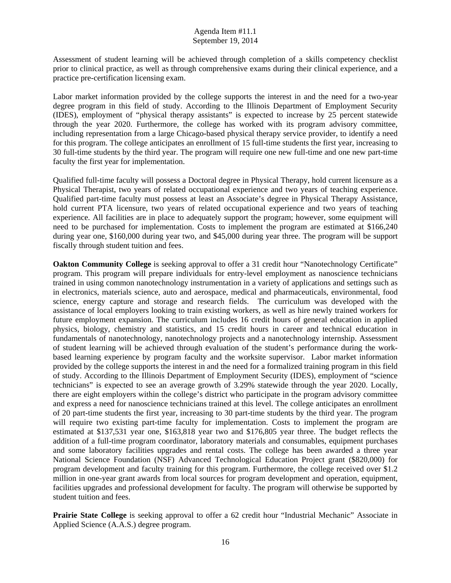Assessment of student learning will be achieved through completion of a skills competency checklist prior to clinical practice, as well as through comprehensive exams during their clinical experience, and a practice pre-certification licensing exam.

Labor market information provided by the college supports the interest in and the need for a two-year degree program in this field of study. According to the Illinois Department of Employment Security (IDES), employment of "physical therapy assistants" is expected to increase by 25 percent statewide through the year 2020. Furthermore, the college has worked with its program advisory committee, including representation from a large Chicago-based physical therapy service provider, to identify a need for this program. The college anticipates an enrollment of 15 full-time students the first year, increasing to 30 full-time students by the third year. The program will require one new full-time and one new part-time faculty the first year for implementation.

Qualified full-time faculty will possess a Doctoral degree in Physical Therapy, hold current licensure as a Physical Therapist, two years of related occupational experience and two years of teaching experience. Qualified part-time faculty must possess at least an Associate's degree in Physical Therapy Assistance, hold current PTA licensure, two years of related occupational experience and two years of teaching experience. All facilities are in place to adequately support the program; however, some equipment will need to be purchased for implementation. Costs to implement the program are estimated at \$166,240 during year one, \$160,000 during year two, and \$45,000 during year three. The program will be support fiscally through student tuition and fees.

**Oakton Community College** is seeking approval to offer a 31 credit hour "Nanotechnology Certificate" program. This program will prepare individuals for entry-level employment as nanoscience technicians trained in using common nanotechnology instrumentation in a variety of applications and settings such as in electronics, materials science, auto and aerospace, medical and pharmaceuticals, environmental, food science, energy capture and storage and research fields. The curriculum was developed with the assistance of local employers looking to train existing workers, as well as hire newly trained workers for future employment expansion. The curriculum includes 16 credit hours of general education in applied physics, biology, chemistry and statistics, and 15 credit hours in career and technical education in fundamentals of nanotechnology, nanotechnology projects and a nanotechnology internship. Assessment of student learning will be achieved through evaluation of the student's performance during the workbased learning experience by program faculty and the worksite supervisor. Labor market information provided by the college supports the interest in and the need for a formalized training program in this field of study. According to the Illinois Department of Employment Security (IDES), employment of "science technicians" is expected to see an average growth of 3.29% statewide through the year 2020. Locally, there are eight employers within the college's district who participate in the program advisory committee and express a need for nanoscience technicians trained at this level. The college anticipates an enrollment of 20 part-time students the first year, increasing to 30 part-time students by the third year. The program will require two existing part-time faculty for implementation. Costs to implement the program are estimated at \$137,531 year one, \$163,818 year two and \$176,805 year three. The budget reflects the addition of a full-time program coordinator, laboratory materials and consumables, equipment purchases and some laboratory facilities upgrades and rental costs. The college has been awarded a three year National Science Foundation (NSF) Advanced Technological Education Project grant (\$820,000) for program development and faculty training for this program. Furthermore, the college received over \$1.2 million in one-year grant awards from local sources for program development and operation, equipment, facilities upgrades and professional development for faculty. The program will otherwise be supported by student tuition and fees.

**Prairie State College** is seeking approval to offer a 62 credit hour "Industrial Mechanic" Associate in Applied Science (A.A.S.) degree program.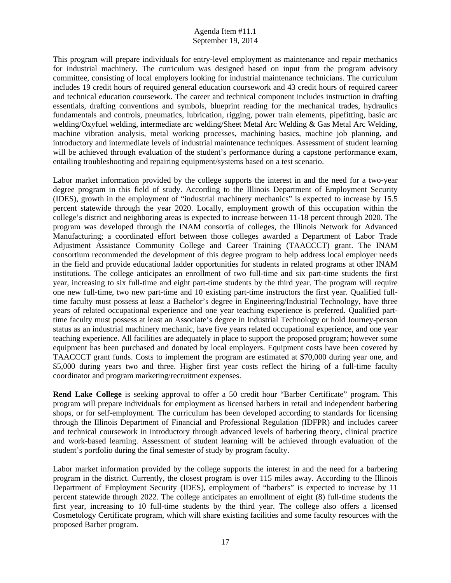This program will prepare individuals for entry-level employment as maintenance and repair mechanics for industrial machinery. The curriculum was designed based on input from the program advisory committee, consisting of local employers looking for industrial maintenance technicians. The curriculum includes 19 credit hours of required general education coursework and 43 credit hours of required career and technical education coursework. The career and technical component includes instruction in drafting essentials, drafting conventions and symbols, blueprint reading for the mechanical trades, hydraulics fundamentals and controls, pneumatics, lubrication, rigging, power train elements, pipefitting, basic arc welding/Oxyfuel welding, intermediate arc welding/Sheet Metal Arc Welding & Gas Metal Arc Welding, machine vibration analysis, metal working processes, machining basics, machine job planning, and introductory and intermediate levels of industrial maintenance techniques. Assessment of student learning will be achieved through evaluation of the student's performance during a capstone performance exam, entailing troubleshooting and repairing equipment/systems based on a test scenario.

Labor market information provided by the college supports the interest in and the need for a two-year degree program in this field of study. According to the Illinois Department of Employment Security (IDES), growth in the employment of "industrial machinery mechanics" is expected to increase by 15.5 percent statewide through the year 2020. Locally, employment growth of this occupation within the college's district and neighboring areas is expected to increase between 11-18 percent through 2020. The program was developed through the INAM consortia of colleges, the Illinois Network for Advanced Manufacturing; a coordinated effort between those colleges awarded a Department of Labor Trade Adjustment Assistance Community College and Career Training (TAACCCT) grant. The INAM consortium recommended the development of this degree program to help address local employer needs in the field and provide educational ladder opportunities for students in related programs at other INAM institutions. The college anticipates an enrollment of two full-time and six part-time students the first year, increasing to six full-time and eight part-time students by the third year. The program will require one new full-time, two new part-time and 10 existing part-time instructors the first year. Qualified fulltime faculty must possess at least a Bachelor's degree in Engineering/Industrial Technology, have three years of related occupational experience and one year teaching experience is preferred. Qualified parttime faculty must possess at least an Associate's degree in Industrial Technology or hold Journey-person status as an industrial machinery mechanic, have five years related occupational experience, and one year teaching experience. All facilities are adequately in place to support the proposed program; however some equipment has been purchased and donated by local employers. Equipment costs have been covered by TAACCCT grant funds. Costs to implement the program are estimated at \$70,000 during year one, and \$5,000 during years two and three. Higher first year costs reflect the hiring of a full-time faculty coordinator and program marketing/recruitment expenses.

**Rend Lake College** is seeking approval to offer a 50 credit hour "Barber Certificate" program. This program will prepare individuals for employment as licensed barbers in retail and independent barbering shops, or for self-employment. The curriculum has been developed according to standards for licensing through the Illinois Department of Financial and Professional Regulation (IDFPR) and includes career and technical coursework in introductory through advanced levels of barbering theory, clinical practice and work-based learning. Assessment of student learning will be achieved through evaluation of the student's portfolio during the final semester of study by program faculty.

Labor market information provided by the college supports the interest in and the need for a barbering program in the district. Currently, the closest program is over 115 miles away. According to the Illinois Department of Employment Security (IDES), employment of "barbers" is expected to increase by 11 percent statewide through 2022. The college anticipates an enrollment of eight (8) full-time students the first year, increasing to 10 full-time students by the third year. The college also offers a licensed Cosmetology Certificate program, which will share existing facilities and some faculty resources with the proposed Barber program.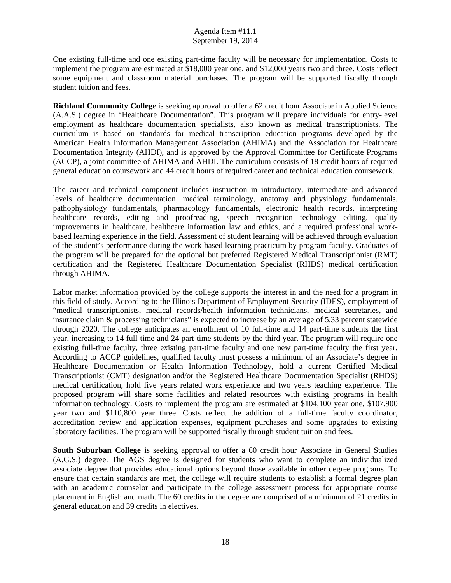One existing full-time and one existing part-time faculty will be necessary for implementation. Costs to implement the program are estimated at \$18,000 year one, and \$12,000 years two and three. Costs reflect some equipment and classroom material purchases. The program will be supported fiscally through student tuition and fees.

**Richland Community College** is seeking approval to offer a 62 credit hour Associate in Applied Science (A.A.S.) degree in "Healthcare Documentation". This program will prepare individuals for entry-level employment as healthcare documentation specialists, also known as medical transcriptionists. The curriculum is based on standards for medical transcription education programs developed by the American Health Information Management Association (AHIMA) and the Association for Healthcare Documentation Integrity (AHDI), and is approved by the Approval Committee for Certificate Programs (ACCP), a joint committee of AHIMA and AHDI. The curriculum consists of 18 credit hours of required general education coursework and 44 credit hours of required career and technical education coursework.

The career and technical component includes instruction in introductory, intermediate and advanced levels of healthcare documentation, medical terminology, anatomy and physiology fundamentals, pathophysiology fundamentals, pharmacology fundamentals, electronic health records, interpreting healthcare records, editing and proofreading, speech recognition technology editing, quality improvements in healthcare, healthcare information law and ethics, and a required professional workbased learning experience in the field. Assessment of student learning will be achieved through evaluation of the student's performance during the work-based learning practicum by program faculty. Graduates of the program will be prepared for the optional but preferred Registered Medical Transcriptionist (RMT) certification and the Registered Healthcare Documentation Specialist (RHDS) medical certification through AHIMA.

Labor market information provided by the college supports the interest in and the need for a program in this field of study. According to the Illinois Department of Employment Security (IDES), employment of "medical transcriptionists, medical records/health information technicians, medical secretaries, and insurance claim & processing technicians" is expected to increase by an average of 5.33 percent statewide through 2020. The college anticipates an enrollment of 10 full-time and 14 part-time students the first year, increasing to 14 full-time and 24 part-time students by the third year. The program will require one existing full-time faculty, three existing part-time faculty and one new part-time faculty the first year. According to ACCP guidelines, qualified faculty must possess a minimum of an Associate's degree in Healthcare Documentation or Health Information Technology, hold a current Certified Medical Transcriptionist (CMT) designation and/or the Registered Healthcare Documentation Specialist (RHDS) medical certification, hold five years related work experience and two years teaching experience. The proposed program will share some facilities and related resources with existing programs in health information technology. Costs to implement the program are estimated at \$104,100 year one, \$107,900 year two and \$110,800 year three. Costs reflect the addition of a full-time faculty coordinator, accreditation review and application expenses, equipment purchases and some upgrades to existing laboratory facilities. The program will be supported fiscally through student tuition and fees.

**South Suburban College** is seeking approval to offer a 60 credit hour Associate in General Studies (A.G.S.) degree. The AGS degree is designed for students who want to complete an individualized associate degree that provides educational options beyond those available in other degree programs. To ensure that certain standards are met, the college will require students to establish a formal degree plan with an academic counselor and participate in the college assessment process for appropriate course placement in English and math. The 60 credits in the degree are comprised of a minimum of 21 credits in general education and 39 credits in electives.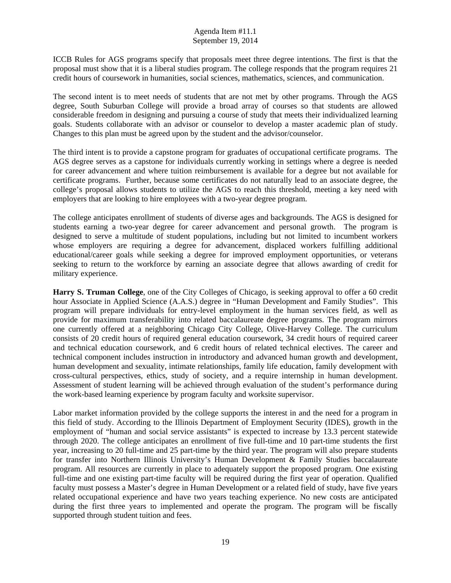ICCB Rules for AGS programs specify that proposals meet three degree intentions. The first is that the proposal must show that it is a liberal studies program. The college responds that the program requires 21 credit hours of coursework in humanities, social sciences, mathematics, sciences, and communication.

The second intent is to meet needs of students that are not met by other programs. Through the AGS degree, South Suburban College will provide a broad array of courses so that students are allowed considerable freedom in designing and pursuing a course of study that meets their individualized learning goals. Students collaborate with an advisor or counselor to develop a master academic plan of study. Changes to this plan must be agreed upon by the student and the advisor/counselor.

The third intent is to provide a capstone program for graduates of occupational certificate programs. The AGS degree serves as a capstone for individuals currently working in settings where a degree is needed for career advancement and where tuition reimbursement is available for a degree but not available for certificate programs. Further, because some certificates do not naturally lead to an associate degree, the college's proposal allows students to utilize the AGS to reach this threshold, meeting a key need with employers that are looking to hire employees with a two-year degree program.

The college anticipates enrollment of students of diverse ages and backgrounds. The AGS is designed for students earning a two-year degree for career advancement and personal growth. The program is designed to serve a multitude of student populations, including but not limited to incumbent workers whose employers are requiring a degree for advancement, displaced workers fulfilling additional educational/career goals while seeking a degree for improved employment opportunities, or veterans seeking to return to the workforce by earning an associate degree that allows awarding of credit for military experience.

**Harry S. Truman College**, one of the City Colleges of Chicago, is seeking approval to offer a 60 credit hour Associate in Applied Science (A.A.S.) degree in "Human Development and Family Studies". This program will prepare individuals for entry-level employment in the human services field, as well as provide for maximum transferability into related baccalaureate degree programs. The program mirrors one currently offered at a neighboring Chicago City College, Olive-Harvey College. The curriculum consists of 20 credit hours of required general education coursework, 34 credit hours of required career and technical education coursework, and 6 credit hours of related technical electives. The career and technical component includes instruction in introductory and advanced human growth and development, human development and sexuality, intimate relationships, family life education, family development with cross-cultural perspectives, ethics, study of society, and a require internship in human development. Assessment of student learning will be achieved through evaluation of the student's performance during the work-based learning experience by program faculty and worksite supervisor.

Labor market information provided by the college supports the interest in and the need for a program in this field of study. According to the Illinois Department of Employment Security (IDES), growth in the employment of "human and social service assistants" is expected to increase by 13.3 percent statewide through 2020. The college anticipates an enrollment of five full-time and 10 part-time students the first year, increasing to 20 full-time and 25 part-time by the third year. The program will also prepare students for transfer into Northern Illinois University's Human Development & Family Studies baccalaureate program. All resources are currently in place to adequately support the proposed program. One existing full-time and one existing part-time faculty will be required during the first year of operation. Qualified faculty must possess a Master's degree in Human Development or a related field of study, have five years related occupational experience and have two years teaching experience. No new costs are anticipated during the first three years to implemented and operate the program. The program will be fiscally supported through student tuition and fees.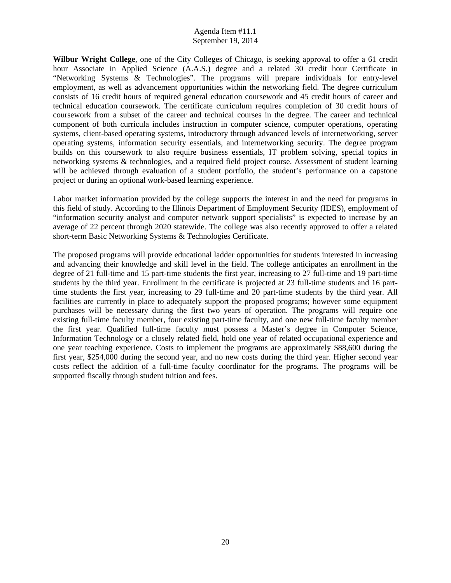**Wilbur Wright College**, one of the City Colleges of Chicago, is seeking approval to offer a 61 credit hour Associate in Applied Science (A.A.S.) degree and a related 30 credit hour Certificate in "Networking Systems & Technologies". The programs will prepare individuals for entry-level employment, as well as advancement opportunities within the networking field. The degree curriculum consists of 16 credit hours of required general education coursework and 45 credit hours of career and technical education coursework. The certificate curriculum requires completion of 30 credit hours of coursework from a subset of the career and technical courses in the degree. The career and technical component of both curricula includes instruction in computer science, computer operations, operating systems, client-based operating systems, introductory through advanced levels of internetworking, server operating systems, information security essentials, and internetworking security. The degree program builds on this coursework to also require business essentials, IT problem solving, special topics in networking systems & technologies, and a required field project course. Assessment of student learning will be achieved through evaluation of a student portfolio, the student's performance on a capstone project or during an optional work-based learning experience.

Labor market information provided by the college supports the interest in and the need for programs in this field of study. According to the Illinois Department of Employment Security (IDES), employment of "information security analyst and computer network support specialists" is expected to increase by an average of 22 percent through 2020 statewide. The college was also recently approved to offer a related short-term Basic Networking Systems & Technologies Certificate.

The proposed programs will provide educational ladder opportunities for students interested in increasing and advancing their knowledge and skill level in the field. The college anticipates an enrollment in the degree of 21 full-time and 15 part-time students the first year, increasing to 27 full-time and 19 part-time students by the third year. Enrollment in the certificate is projected at 23 full-time students and 16 parttime students the first year, increasing to 29 full-time and 20 part-time students by the third year. All facilities are currently in place to adequately support the proposed programs; however some equipment purchases will be necessary during the first two years of operation. The programs will require one existing full-time faculty member, four existing part-time faculty, and one new full-time faculty member the first year. Qualified full-time faculty must possess a Master's degree in Computer Science, Information Technology or a closely related field, hold one year of related occupational experience and one year teaching experience. Costs to implement the programs are approximately \$88,600 during the first year, \$254,000 during the second year, and no new costs during the third year. Higher second year costs reflect the addition of a full-time faculty coordinator for the programs. The programs will be supported fiscally through student tuition and fees.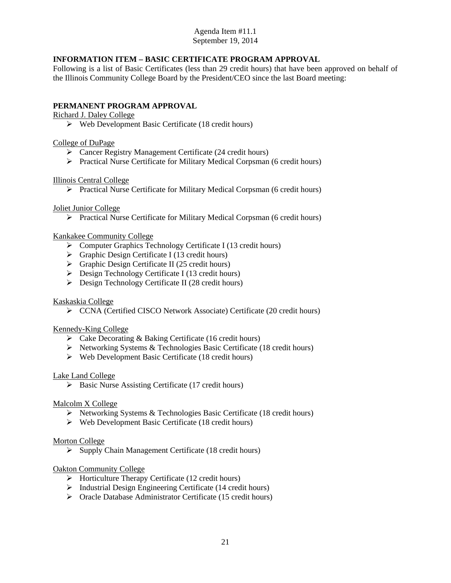# **INFORMATION ITEM – BASIC CERTIFICATE PROGRAM APPROVAL**

Following is a list of Basic Certificates (less than 29 credit hours) that have been approved on behalf of the Illinois Community College Board by the President/CEO since the last Board meeting:

# **PERMANENT PROGRAM APPROVAL**

# Richard J. Daley College

 $\triangleright$  Web Development Basic Certificate (18 credit hours)

# College of DuPage

- Cancer Registry Management Certificate (24 credit hours)
- Practical Nurse Certificate for Military Medical Corpsman (6 credit hours)

# Illinois Central College

Practical Nurse Certificate for Military Medical Corpsman (6 credit hours)

# Joliet Junior College

 $\triangleright$  Practical Nurse Certificate for Military Medical Corpsman (6 credit hours)

# Kankakee Community College

- $\triangleright$  Computer Graphics Technology Certificate I (13 credit hours)
- $\triangleright$  Graphic Design Certificate I (13 credit hours)
- $\triangleright$  Graphic Design Certificate II (25 credit hours)
- $\triangleright$  Design Technology Certificate I (13 credit hours)
- **Design Technology Certificate II (28 credit hours)**

# Kaskaskia College

CCNA (Certified CISCO Network Associate) Certificate (20 credit hours)

# Kennedy-King College

- $\triangleright$  Cake Decorating & Baking Certificate (16 credit hours)
- $\triangleright$  Networking Systems & Technologies Basic Certificate (18 credit hours)
- $\triangleright$  Web Development Basic Certificate (18 credit hours)

# Lake Land College

 $\triangleright$  Basic Nurse Assisting Certificate (17 credit hours)

# Malcolm X College

- $\triangleright$  Networking Systems & Technologies Basic Certificate (18 credit hours)
- $\triangleright$  Web Development Basic Certificate (18 credit hours)

# Morton College

 $\triangleright$  Supply Chain Management Certificate (18 credit hours)

# Oakton Community College

- $\triangleright$  Horticulture Therapy Certificate (12 credit hours)
- $\triangleright$  Industrial Design Engineering Certificate (14 credit hours)
- Oracle Database Administrator Certificate (15 credit hours)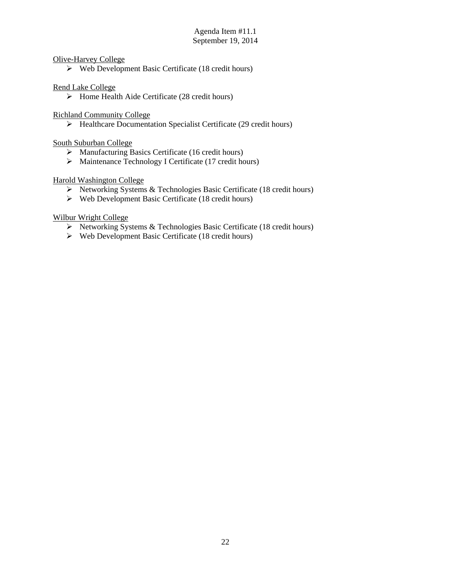# Olive-Harvey College

 $\triangleright$  Web Development Basic Certificate (18 credit hours)

# Rend Lake College

 $\triangleright$  Home Health Aide Certificate (28 credit hours)

Richland Community College

Healthcare Documentation Specialist Certificate (29 credit hours)

South Suburban College

- $\triangleright$  Manufacturing Basics Certificate (16 credit hours)
- > Maintenance Technology I Certificate (17 credit hours)

# Harold Washington College

- $\triangleright$  Networking Systems & Technologies Basic Certificate (18 credit hours)
- $\triangleright$  Web Development Basic Certificate (18 credit hours)

# Wilbur Wright College

- Networking Systems & Technologies Basic Certificate (18 credit hours)
- $\triangleright$  Web Development Basic Certificate (18 credit hours)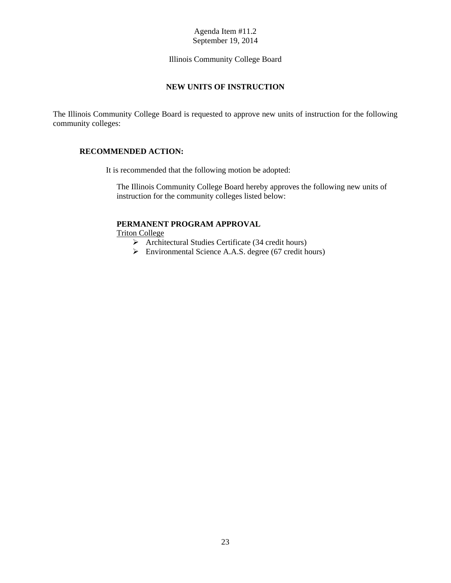[Illinois Community College Board](#page-1-0)

# **NEW UNITS OF INSTRUCTION**

<span id="page-25-0"></span>The Illinois Community College Board is requested to approve new units of instruction for the following community colleges:

# **RECOMMENDED ACTION:**

It is recommended that the following motion be adopted:

The Illinois Community College Board hereby approves the following new units of instruction for the community colleges listed below:

# **PERMANENT PROGRAM APPROVAL**

Triton College

- $\triangleright$  Architectural Studies Certificate (34 credit hours)
- Environmental Science A.A.S. degree (67 credit hours)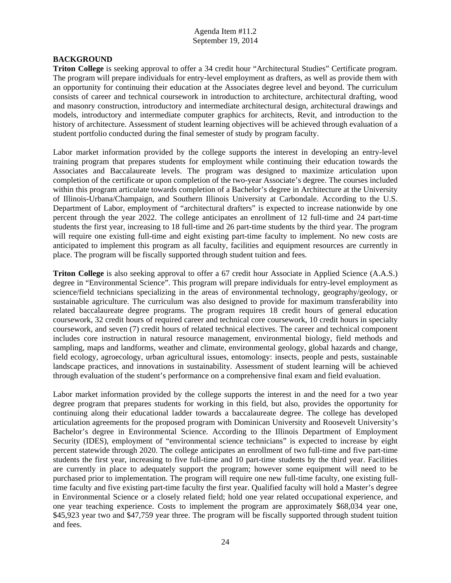# **BACKGROUND**

**Triton College** is seeking approval to offer a 34 credit hour "Architectural Studies" Certificate program. The program will prepare individuals for entry-level employment as drafters, as well as provide them with an opportunity for continuing their education at the Associates degree level and beyond. The curriculum consists of career and technical coursework in introduction to architecture, architectural drafting, wood and masonry construction, introductory and intermediate architectural design, architectural drawings and models, introductory and intermediate computer graphics for architects, Revit, and introduction to the history of architecture. Assessment of student learning objectives will be achieved through evaluation of a student portfolio conducted during the final semester of study by program faculty.

Labor market information provided by the college supports the interest in developing an entry-level training program that prepares students for employment while continuing their education towards the Associates and Baccalaureate levels. The program was designed to maximize articulation upon completion of the certificate or upon completion of the two-year Associate's degree. The courses included within this program articulate towards completion of a Bachelor's degree in Architecture at the University of Illinois-Urbana/Champaign, and Southern Illinois University at Carbondale. According to the U.S. Department of Labor, employment of "architectural drafters" is expected to increase nationwide by one percent through the year 2022. The college anticipates an enrollment of 12 full-time and 24 part-time students the first year, increasing to 18 full-time and 26 part-time students by the third year. The program will require one existing full-time and eight existing part-time faculty to implement. No new costs are anticipated to implement this program as all faculty, facilities and equipment resources are currently in place. The program will be fiscally supported through student tuition and fees.

**Triton College** is also seeking approval to offer a 67 credit hour Associate in Applied Science (A.A.S.) degree in "Environmental Science". This program will prepare individuals for entry-level employment as science/field technicians specializing in the areas of environmental technology, geography/geology, or sustainable agriculture. The curriculum was also designed to provide for maximum transferability into related baccalaureate degree programs. The program requires 18 credit hours of general education coursework, 32 credit hours of required career and technical core coursework, 10 credit hours in specialty coursework, and seven (7) credit hours of related technical electives. The career and technical component includes core instruction in natural resource management, environmental biology, field methods and sampling, maps and landforms, weather and climate, environmental geology, global hazards and change, field ecology, agroecology, urban agricultural issues, entomology: insects, people and pests, sustainable landscape practices, and innovations in sustainability. Assessment of student learning will be achieved through evaluation of the student's performance on a comprehensive final exam and field evaluation.

Labor market information provided by the college supports the interest in and the need for a two year degree program that prepares students for working in this field, but also, provides the opportunity for continuing along their educational ladder towards a baccalaureate degree. The college has developed articulation agreements for the proposed program with Dominican University and Roosevelt University's Bachelor's degree in Environmental Science. According to the Illinois Department of Employment Security (IDES), employment of "environmental science technicians" is expected to increase by eight percent statewide through 2020. The college anticipates an enrollment of two full-time and five part-time students the first year, increasing to five full-time and 10 part-time students by the third year. Facilities are currently in place to adequately support the program; however some equipment will need to be purchased prior to implementation. The program will require one new full-time faculty, one existing fulltime faculty and five existing part-time faculty the first year. Qualified faculty will hold a Master's degree in Environmental Science or a closely related field; hold one year related occupational experience, and one year teaching experience. Costs to implement the program are approximately \$68,034 year one, \$45,923 year two and \$47,759 year three. The program will be fiscally supported through student tuition and fees.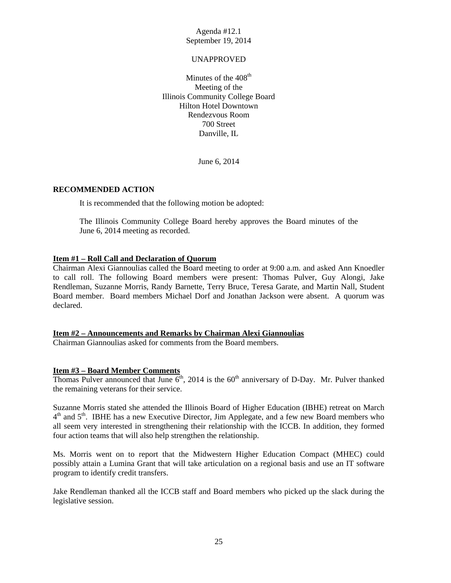#### UNAPPROVED

<span id="page-27-0"></span>Minutes of the  $408<sup>th</sup>$ Meeting of the [Illinois Community College Board](#page-1-0) Hilton Hotel Downtown Rendezvous Room 700 Street Danville, IL

June 6, 2014

#### **RECOMMENDED ACTION**

It is recommended that the following motion be adopted:

The Illinois Community College Board hereby approves the Board minutes of the June 6, 2014 meeting as recorded.

#### **Item #1 – Roll Call and Declaration of Quorum**

Chairman Alexi Giannoulias called the Board meeting to order at 9:00 a.m. and asked Ann Knoedler to call roll. The following Board members were present: Thomas Pulver, Guy Alongi, Jake Rendleman, Suzanne Morris, Randy Barnette, Terry Bruce, Teresa Garate, and Martin Nall, Student Board member. Board members Michael Dorf and Jonathan Jackson were absent. A quorum was declared.

#### **Item #2 – Announcements and Remarks by Chairman Alexi Giannoulias**

Chairman Giannoulias asked for comments from the Board members.

#### **Item #3 – Board Member Comments**

Thomas Pulver announced that June  $6<sup>th</sup>$ , 2014 is the  $60<sup>th</sup>$  anniversary of D-Day. Mr. Pulver thanked the remaining veterans for their service.

Suzanne Morris stated she attended the Illinois Board of Higher Education (IBHE) retreat on March  $4<sup>th</sup>$  and  $5<sup>th</sup>$ . IBHE has a new Executive Director, Jim Applegate, and a few new Board members who all seem very interested in strengthening their relationship with the ICCB. In addition, they formed four action teams that will also help strengthen the relationship.

Ms. Morris went on to report that the Midwestern Higher Education Compact (MHEC) could possibly attain a Lumina Grant that will take articulation on a regional basis and use an IT software program to identify credit transfers.

Jake Rendleman thanked all the ICCB staff and Board members who picked up the slack during the legislative session.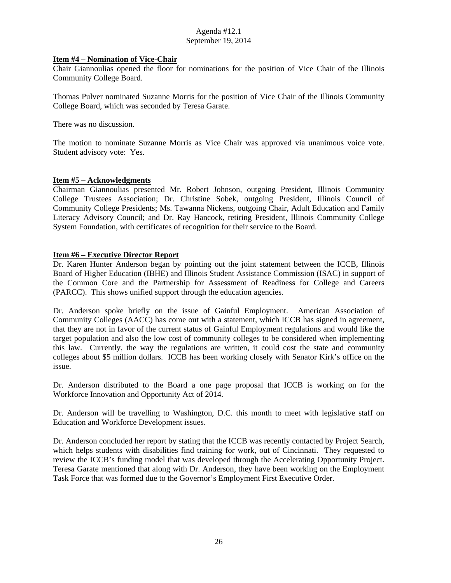### **Item #4 – Nomination of Vice-Chair**

Chair Giannoulias opened the floor for nominations for the position of Vice Chair of the Illinois Community College Board.

Thomas Pulver nominated Suzanne Morris for the position of Vice Chair of the Illinois Community College Board, which was seconded by Teresa Garate.

There was no discussion.

The motion to nominate Suzanne Morris as Vice Chair was approved via unanimous voice vote. Student advisory vote: Yes.

# **Item #5 – Acknowledgments**

Chairman Giannoulias presented Mr. Robert Johnson, outgoing President, Illinois Community College Trustees Association; Dr. Christine Sobek, outgoing President, Illinois Council of Community College Presidents; Ms. Tawanna Nickens, outgoing Chair, Adult Education and Family Literacy Advisory Council; and Dr. Ray Hancock, retiring President, Illinois Community College System Foundation, with certificates of recognition for their service to the Board.

### **Item #6 – Executive Director Report**

Dr. Karen Hunter Anderson began by pointing out the joint statement between the ICCB, Illinois Board of Higher Education (IBHE) and Illinois Student Assistance Commission (ISAC) in support of the Common Core and the Partnership for Assessment of Readiness for College and Careers (PARCC). This shows unified support through the education agencies.

Dr. Anderson spoke briefly on the issue of Gainful Employment. American Association of Community Colleges (AACC) has come out with a statement, which ICCB has signed in agreement, that they are not in favor of the current status of Gainful Employment regulations and would like the target population and also the low cost of community colleges to be considered when implementing this law. Currently, the way the regulations are written, it could cost the state and community colleges about \$5 million dollars. ICCB has been working closely with Senator Kirk's office on the issue.

Dr. Anderson distributed to the Board a one page proposal that ICCB is working on for the Workforce Innovation and Opportunity Act of 2014.

Dr. Anderson will be travelling to Washington, D.C. this month to meet with legislative staff on Education and Workforce Development issues.

Dr. Anderson concluded her report by stating that the ICCB was recently contacted by Project Search, which helps students with disabilities find training for work, out of Cincinnati. They requested to review the ICCB's funding model that was developed through the Accelerating Opportunity Project. Teresa Garate mentioned that along with Dr. Anderson, they have been working on the Employment Task Force that was formed due to the Governor's Employment First Executive Order.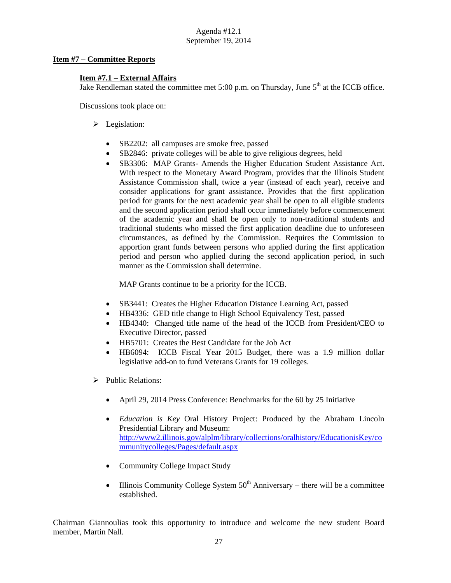# **Item #7 – Committee Reports**

# **Item #7.1 – External Affairs**

Jake Rendleman stated the committee met 5:00 p.m. on Thursday, June  $5<sup>th</sup>$  at the ICCB office.

Discussions took place on:

- $\blacktriangleright$  Legislation:
	- SB2202: all campuses are smoke free, passed
	- SB2846: private colleges will be able to give religious degrees, held
	- SB3306: MAP Grants- Amends the Higher Education Student Assistance Act. With respect to the Monetary Award Program, provides that the Illinois Student Assistance Commission shall, twice a year (instead of each year), receive and consider applications for grant assistance. Provides that the first application period for grants for the next academic year shall be open to all eligible students and the second application period shall occur immediately before commencement of the academic year and shall be open only to non-traditional students and traditional students who missed the first application deadline due to unforeseen circumstances, as defined by the Commission. Requires the Commission to apportion grant funds between persons who applied during the first application period and person who applied during the second application period, in such manner as the Commission shall determine.

MAP Grants continue to be a priority for the ICCB.

- SB3441: Creates the Higher Education Distance Learning Act, passed
- HB4336: GED title change to High School Equivalency Test, passed
- HB4340: Changed title name of the head of the ICCB from President/CEO to Executive Director, passed
- HB5701: Creates the Best Candidate for the Job Act
- HB6094: ICCB Fiscal Year 2015 Budget, there was a 1.9 million dollar legislative add-on to fund Veterans Grants for 19 colleges.
- $\triangleright$  Public Relations:
	- April 29, 2014 Press Conference: Benchmarks for the 60 by 25 Initiative
	- *Education is Key* Oral History Project: Produced by the Abraham Lincoln Presidential Library and Museum: http://www2.illinois.gov/alplm/library/collections/oralhistory/EducationisKey/co mmunitycolleges/Pages/default.aspx
	- Community College Impact Study
	- Illinois Community College System  $50<sup>th</sup>$  Anniversary there will be a committee established.

Chairman Giannoulias took this opportunity to introduce and welcome the new student Board member, Martin Nall.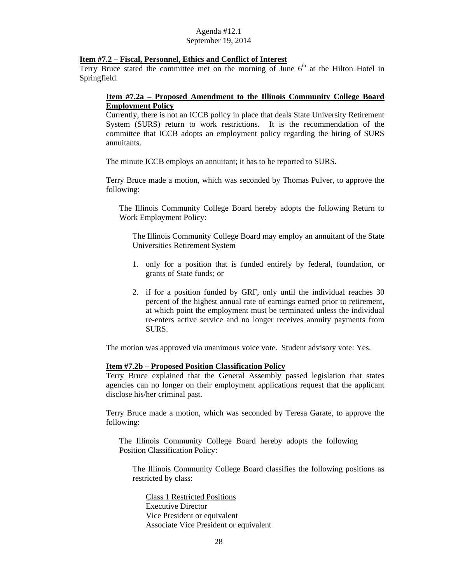### **Item #7.2 – Fiscal, Personnel, Ethics and Conflict of Interest**

Terry Bruce stated the committee met on the morning of June  $6<sup>th</sup>$  at the Hilton Hotel in Springfield.

# **Item #7.2a – Proposed Amendment to the Illinois Community College Board Employment Policy**

Currently, there is not an ICCB policy in place that deals State University Retirement System (SURS) return to work restrictions. It is the recommendation of the committee that ICCB adopts an employment policy regarding the hiring of SURS annuitants.

The minute ICCB employs an annuitant; it has to be reported to SURS.

Terry Bruce made a motion, which was seconded by Thomas Pulver, to approve the following:

The Illinois Community College Board hereby adopts the following Return to Work Employment Policy:

The Illinois Community College Board may employ an annuitant of the State Universities Retirement System

- 1. only for a position that is funded entirely by federal, foundation, or grants of State funds; or
- 2. if for a position funded by GRF, only until the individual reaches 30 percent of the highest annual rate of earnings earned prior to retirement, at which point the employment must be terminated unless the individual re-enters active service and no longer receives annuity payments from SURS.

The motion was approved via unanimous voice vote. Student advisory vote: Yes.

#### **Item #7.2b – Proposed Position Classification Policy**

Terry Bruce explained that the General Assembly passed legislation that states agencies can no longer on their employment applications request that the applicant disclose his/her criminal past.

Terry Bruce made a motion, which was seconded by Teresa Garate, to approve the following:

The Illinois Community College Board hereby adopts the following Position Classification Policy:

The Illinois Community College Board classifies the following positions as restricted by class:

Class 1 Restricted Positions Executive Director Vice President or equivalent Associate Vice President or equivalent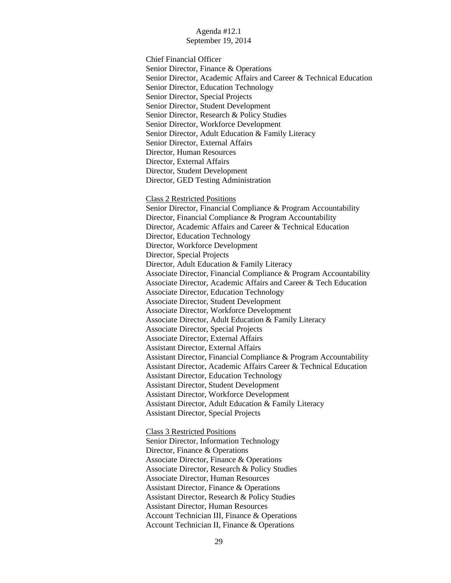Chief Financial Officer Senior Director, Finance & Operations Senior Director, Academic Affairs and Career & Technical Education Senior Director, Education Technology Senior Director, Special Projects Senior Director, Student Development Senior Director, Research & Policy Studies Senior Director, Workforce Development Senior Director, Adult Education & Family Literacy Senior Director, External Affairs Director, Human Resources Director, External Affairs Director, Student Development Director, GED Testing Administration

Class 2 Restricted Positions

Senior Director, Financial Compliance & Program Accountability Director, Financial Compliance & Program Accountability Director, Academic Affairs and Career & Technical Education Director, Education Technology Director, Workforce Development Director, Special Projects Director, Adult Education & Family Literacy Associate Director, Financial Compliance & Program Accountability Associate Director, Academic Affairs and Career & Tech Education Associate Director, Education Technology Associate Director, Student Development Associate Director, Workforce Development Associate Director, Adult Education & Family Literacy Associate Director, Special Projects Associate Director, External Affairs Assistant Director, External Affairs Assistant Director, Financial Compliance & Program Accountability Assistant Director, Academic Affairs Career & Technical Education Assistant Director, Education Technology Assistant Director, Student Development Assistant Director, Workforce Development Assistant Director, Adult Education & Family Literacy Assistant Director, Special Projects

Class 3 Restricted Positions Senior Director, Information Technology Director, Finance & Operations Associate Director, Finance & Operations Associate Director, Research & Policy Studies Associate Director, Human Resources Assistant Director, Finance & Operations Assistant Director, Research & Policy Studies Assistant Director, Human Resources Account Technician III, Finance & Operations Account Technician II, Finance & Operations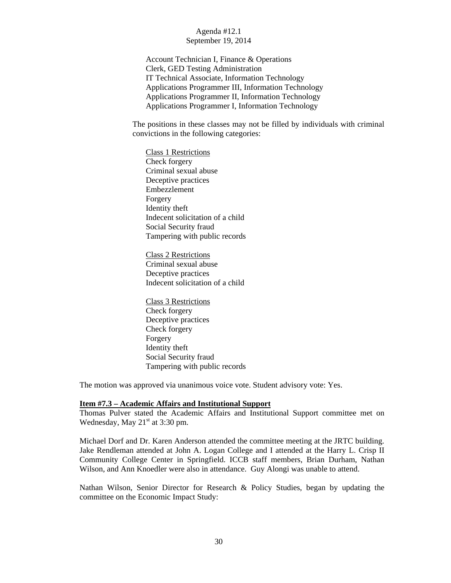Account Technician I, Finance & Operations Clerk, GED Testing Administration IT Technical Associate, Information Technology Applications Programmer III, Information Technology Applications Programmer II, Information Technology Applications Programmer I, Information Technology

The positions in these classes may not be filled by individuals with criminal convictions in the following categories:

Class 1 Restrictions Check forgery Criminal sexual abuse Deceptive practices Embezzlement Forgery Identity theft Indecent solicitation of a child Social Security fraud Tampering with public records

Class 2 Restrictions Criminal sexual abuse Deceptive practices Indecent solicitation of a child

Class 3 Restrictions Check forgery Deceptive practices Check forgery Forgery Identity theft Social Security fraud Tampering with public records

The motion was approved via unanimous voice vote. Student advisory vote: Yes.

#### **Item #7.3 – Academic Affairs and Institutional Support**

Thomas Pulver stated the Academic Affairs and Institutional Support committee met on Wednesday, May  $21<sup>st</sup>$  at 3:30 pm.

Michael Dorf and Dr. Karen Anderson attended the committee meeting at the JRTC building. Jake Rendleman attended at John A. Logan College and I attended at the Harry L. Crisp II Community College Center in Springfield. ICCB staff members, Brian Durham, Nathan Wilson, and Ann Knoedler were also in attendance. Guy Alongi was unable to attend.

Nathan Wilson, Senior Director for Research & Policy Studies, began by updating the committee on the Economic Impact Study: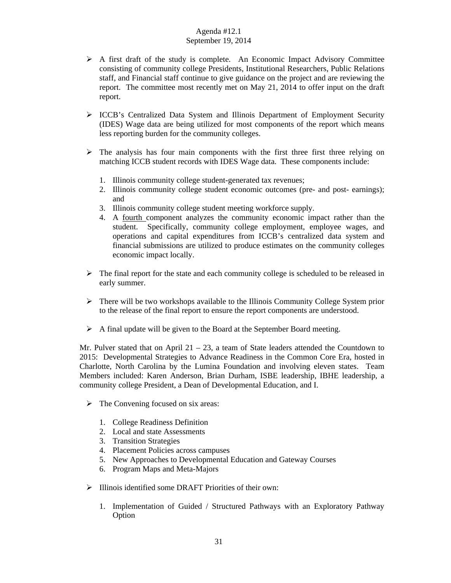- $\triangleright$  A first draft of the study is complete. An Economic Impact Advisory Committee consisting of community college Presidents, Institutional Researchers, Public Relations staff, and Financial staff continue to give guidance on the project and are reviewing the report. The committee most recently met on May 21, 2014 to offer input on the draft report.
- ICCB's Centralized Data System and Illinois Department of Employment Security (IDES) Wage data are being utilized for most components of the report which means less reporting burden for the community colleges.
- $\triangleright$  The analysis has four main components with the first three first three relying on matching ICCB student records with IDES Wage data. These components include:
	- 1. Illinois community college student-generated tax revenues;
	- 2. Illinois community college student economic outcomes (pre- and post- earnings); and
	- 3. Illinois community college student meeting workforce supply.
	- 4. A fourth component analyzes the community economic impact rather than the student. Specifically, community college employment, employee wages, and operations and capital expenditures from ICCB's centralized data system and financial submissions are utilized to produce estimates on the community colleges economic impact locally.
- $\triangleright$  The final report for the state and each community college is scheduled to be released in early summer.
- $\triangleright$  There will be two workshops available to the Illinois Community College System prior to the release of the final report to ensure the report components are understood.
- $\triangleright$  A final update will be given to the Board at the September Board meeting.

Mr. Pulver stated that on April  $21 - 23$ , a team of State leaders attended the Countdown to 2015: Developmental Strategies to Advance Readiness in the Common Core Era, hosted in Charlotte, North Carolina by the Lumina Foundation and involving eleven states. Team Members included: Karen Anderson, Brian Durham, ISBE leadership, IBHE leadership, a community college President, a Dean of Developmental Education, and I.

- $\triangleright$  The Convening focused on six areas:
	- 1. College Readiness Definition
	- 2. Local and state Assessments
	- 3. Transition Strategies
	- 4. Placement Policies across campuses
	- 5. New Approaches to Developmental Education and Gateway Courses
	- 6. Program Maps and Meta-Majors
- $\triangleright$  Illinois identified some DRAFT Priorities of their own:
	- 1. Implementation of Guided / Structured Pathways with an Exploratory Pathway Option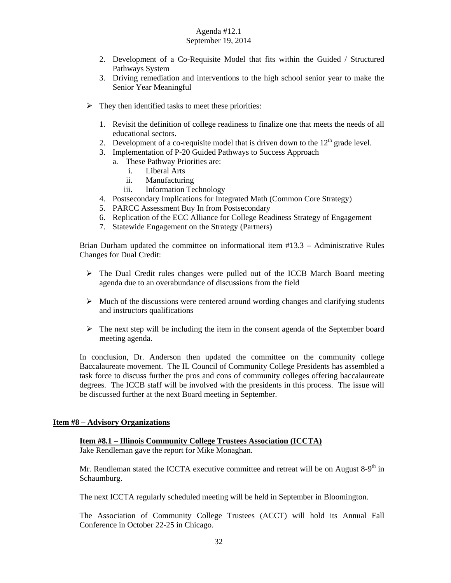- 2. Development of a Co-Requisite Model that fits within the Guided / Structured Pathways System
- 3. Driving remediation and interventions to the high school senior year to make the Senior Year Meaningful
- $\triangleright$  They then identified tasks to meet these priorities:
	- 1. Revisit the definition of college readiness to finalize one that meets the needs of all educational sectors.
	- 2. Development of a co-requisite model that is driven down to the  $12<sup>th</sup>$  grade level.
	- 3. Implementation of P-20 Guided Pathways to Success Approach
		- a. These Pathway Priorities are:
			- i. Liberal Arts
			- ii. Manufacturing
			- iii. Information Technology
	- 4. Postsecondary Implications for Integrated Math (Common Core Strategy)
	- 5. PARCC Assessment Buy In from Postsecondary
	- 6. Replication of the ECC Alliance for College Readiness Strategy of Engagement
	- 7. Statewide Engagement on the Strategy (Partners)

Brian Durham updated the committee on informational item #13.3 – Administrative Rules Changes for Dual Credit:

- $\triangleright$  The Dual Credit rules changes were pulled out of the ICCB March Board meeting agenda due to an overabundance of discussions from the field
- $\triangleright$  Much of the discussions were centered around wording changes and clarifying students and instructors qualifications
- $\triangleright$  The next step will be including the item in the consent agenda of the September board meeting agenda.

In conclusion, Dr. Anderson then updated the committee on the community college Baccalaureate movement. The IL Council of Community College Presidents has assembled a task force to discuss further the pros and cons of community colleges offering baccalaureate degrees. The ICCB staff will be involved with the presidents in this process. The issue will be discussed further at the next Board meeting in September.

#### **Item #8 – Advisory Organizations**

# **Item #8.1 – Illinois Community College Trustees Association (ICCTA)**

Jake Rendleman gave the report for Mike Monaghan.

Mr. Rendleman stated the ICCTA executive committee and retreat will be on August  $8-9<sup>th</sup>$  in Schaumburg.

The next ICCTA regularly scheduled meeting will be held in September in Bloomington.

The Association of Community College Trustees (ACCT) will hold its Annual Fall Conference in October 22-25 in Chicago.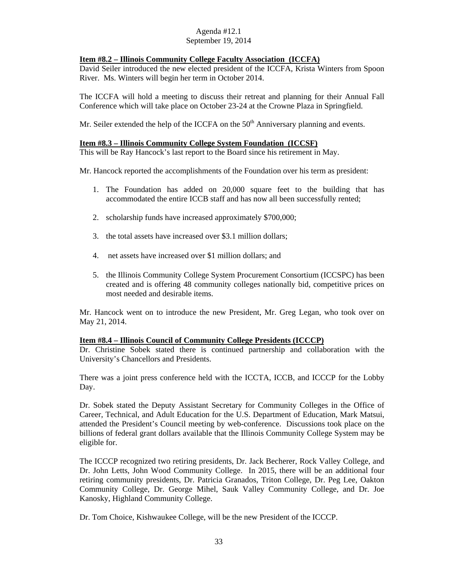# **Item #8.2 – Illinois Community College Faculty Association (ICCFA)**

David Seiler introduced the new elected president of the ICCFA, Krista Winters from Spoon River. Ms. Winters will begin her term in October 2014.

The ICCFA will hold a meeting to discuss their retreat and planning for their Annual Fall Conference which will take place on October 23-24 at the Crowne Plaza in Springfield.

Mr. Seiler extended the help of the ICCFA on the  $50<sup>th</sup>$  Anniversary planning and events.

#### **Item #8.3 – Illinois Community College System Foundation (ICCSF)**

This will be Ray Hancock's last report to the Board since his retirement in May.

Mr. Hancock reported the accomplishments of the Foundation over his term as president:

- 1. The Foundation has added on 20,000 square feet to the building that has accommodated the entire ICCB staff and has now all been successfully rented;
- 2. scholarship funds have increased approximately \$700,000;
- 3. the total assets have increased over \$3.1 million dollars;
- 4. net assets have increased over \$1 million dollars; and
- 5. the Illinois Community College System Procurement Consortium (ICCSPC) has been created and is offering 48 community colleges nationally bid, competitive prices on most needed and desirable items.

Mr. Hancock went on to introduce the new President, Mr. Greg Legan, who took over on May 21, 2014.

#### **Item #8.4 – Illinois Council of Community College Presidents (ICCCP)**

Dr. Christine Sobek stated there is continued partnership and collaboration with the University's Chancellors and Presidents.

There was a joint press conference held with the ICCTA, ICCB, and ICCCP for the Lobby Day.

Dr. Sobek stated the Deputy Assistant Secretary for Community Colleges in the Office of Career, Technical, and Adult Education for the U.S. Department of Education, Mark Matsui, attended the President's Council meeting by web-conference. Discussions took place on the billions of federal grant dollars available that the Illinois Community College System may be eligible for.

The ICCCP recognized two retiring presidents, Dr. Jack Becherer, Rock Valley College, and Dr. John Letts, John Wood Community College. In 2015, there will be an additional four retiring community presidents, Dr. Patricia Granados, Triton College, Dr. Peg Lee, Oakton Community College, Dr. George Mihel, Sauk Valley Community College, and Dr. Joe Kanosky, Highland Community College.

Dr. Tom Choice, Kishwaukee College, will be the new President of the ICCCP.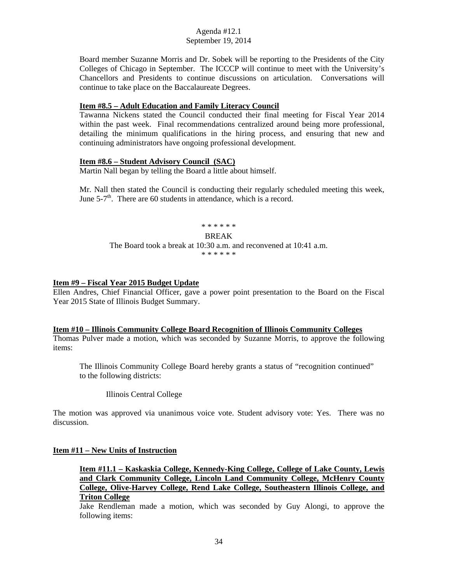Board member Suzanne Morris and Dr. Sobek will be reporting to the Presidents of the City Colleges of Chicago in September. The ICCCP will continue to meet with the University's Chancellors and Presidents to continue discussions on articulation. Conversations will continue to take place on the Baccalaureate Degrees.

### **Item #8.5 – Adult Education and Family Literacy Council**

Tawanna Nickens stated the Council conducted their final meeting for Fiscal Year 2014 within the past week. Final recommendations centralized around being more professional, detailing the minimum qualifications in the hiring process, and ensuring that new and continuing administrators have ongoing professional development.

# **Item #8.6 – Student Advisory Council (SAC)**

Martin Nall began by telling the Board a little about himself.

Mr. Nall then stated the Council is conducting their regularly scheduled meeting this week, June  $5-7<sup>th</sup>$ . There are 60 students in attendance, which is a record.

#### \* \* \* \* \* \*

#### BREAK

#### The Board took a break at 10:30 a.m. and reconvened at 10:41 a.m. \* \* \* \* \* \*

#### **Item #9 – Fiscal Year 2015 Budget Update**

Ellen Andres, Chief Financial Officer, gave a power point presentation to the Board on the Fiscal Year 2015 State of Illinois Budget Summary.

#### **Item #10 – Illinois Community College Board Recognition of Illinois Community Colleges**

Thomas Pulver made a motion, which was seconded by Suzanne Morris, to approve the following items:

The Illinois Community College Board hereby grants a status of "recognition continued" to the following districts:

Illinois Central College

The motion was approved via unanimous voice vote. Student advisory vote: Yes. There was no discussion.

#### **Item #11 – New Units of Instruction**

**Item #11.1 – Kaskaskia College, Kennedy-King College, College of Lake County, Lewis and Clark Community College, Lincoln Land Community College, McHenry County College, Olive-Harvey College, Rend Lake College, Southeastern Illinois College, and Triton College** 

Jake Rendleman made a motion, which was seconded by Guy Alongi, to approve the following items: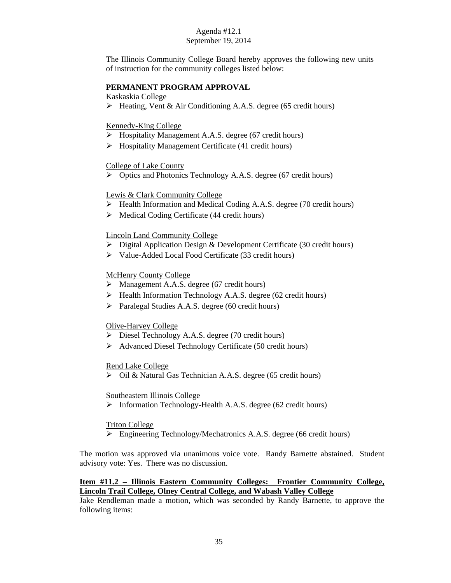The Illinois Community College Board hereby approves the following new units of instruction for the community colleges listed below:

# **PERMANENT PROGRAM APPROVAL**

Kaskaskia College

Heating, Vent & Air Conditioning A.A.S. degree (65 credit hours)

# Kennedy-King College

- $\triangleright$  Hospitality Management A.A.S. degree (67 credit hours)
- $\triangleright$  Hospitality Management Certificate (41 credit hours)

# College of Lake County

Optics and Photonics Technology A.A.S. degree (67 credit hours)

# Lewis & Clark Community College

- Health Information and Medical Coding A.A.S. degree (70 credit hours)
- $\triangleright$  Medical Coding Certificate (44 credit hours)

# Lincoln Land Community College

- $\triangleright$  Digital Application Design & Development Certificate (30 credit hours)
- Value-Added Local Food Certificate (33 credit hours)

# McHenry County College

- $\triangleright$  Management A.A.S. degree (67 credit hours)
- Health Information Technology A.A.S. degree (62 credit hours)
- Paralegal Studies A.A.S. degree (60 credit hours)

# Olive-Harvey College

- Diesel Technology A.A.S. degree (70 credit hours)
- Advanced Diesel Technology Certificate (50 credit hours)

Rend Lake College

Oil & Natural Gas Technician A.A.S. degree (65 credit hours)

# Southeastern Illinois College

> Information Technology-Health A.A.S. degree (62 credit hours)

# Triton College

Engineering Technology/Mechatronics A.A.S. degree (66 credit hours)

The motion was approved via unanimous voice vote. Randy Barnette abstained. Student advisory vote: Yes. There was no discussion.

# **Item #11.2 – Illinois Eastern Community Colleges: Frontier Community College, Lincoln Trail College, Olney Central College, and Wabash Valley College**

Jake Rendleman made a motion, which was seconded by Randy Barnette, to approve the following items: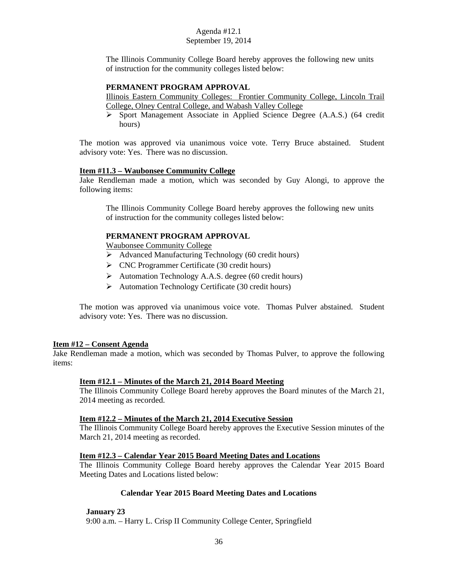The Illinois Community College Board hereby approves the following new units of instruction for the community colleges listed below:

# **PERMANENT PROGRAM APPROVAL**

Illinois Eastern Community Colleges: Frontier Community College, Lincoln Trail College, Olney Central College, and Wabash Valley College

 Sport Management Associate in Applied Science Degree (A.A.S.) (64 credit hours)

The motion was approved via unanimous voice vote. Terry Bruce abstained. Student advisory vote: Yes. There was no discussion.

# **Item #11.3 – Waubonsee Community College**

Jake Rendleman made a motion, which was seconded by Guy Alongi, to approve the following items:

The Illinois Community College Board hereby approves the following new units of instruction for the community colleges listed below:

# **PERMANENT PROGRAM APPROVAL**

Waubonsee Community College

- $\triangleright$  Advanced Manufacturing Technology (60 credit hours)
- $\triangleright$  CNC Programmer Certificate (30 credit hours)
- $\triangleright$  Automation Technology A.A.S. degree (60 credit hours)
- $\triangleright$  Automation Technology Certificate (30 credit hours)

The motion was approved via unanimous voice vote. Thomas Pulver abstained. Student advisory vote: Yes. There was no discussion.

# **Item #12 – Consent Agenda**

Jake Rendleman made a motion, which was seconded by Thomas Pulver, to approve the following items:

# **Item #12.1 – Minutes of the March 21, 2014 Board Meeting**

The Illinois Community College Board hereby approves the Board minutes of the March 21, 2014 meeting as recorded.

# **Item #12.2 – Minutes of the March 21, 2014 Executive Session**

The Illinois Community College Board hereby approves the Executive Session minutes of the March 21, 2014 meeting as recorded.

# **Item #12.3 – Calendar Year 2015 Board Meeting Dates and Locations**

The Illinois Community College Board hereby approves the Calendar Year 2015 Board Meeting Dates and Locations listed below:

# **Calendar Year 2015 Board Meeting Dates and Locations**

**January 23** 

9:00 a.m. – Harry L. Crisp II Community College Center, Springfield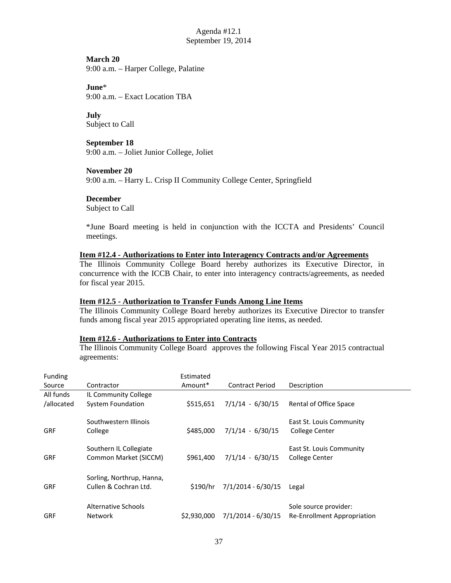**March 20**  9:00 a.m. – Harper College, Palatine

**June**\* 9:00 a.m. – Exact Location TBA

**July**  Subject to Call

**September 18**  9:00 a.m. – Joliet Junior College, Joliet

**November 20**  9:00 a.m. – Harry L. Crisp II Community College Center, Springfield

# **December**

Subject to Call

\*June Board meeting is held in conjunction with the ICCTA and Presidents' Council meetings.

# **Item #12.4 - Authorizations to Enter into Interagency Contracts and/or Agreements**

The Illinois Community College Board hereby authorizes its Executive Director, in concurrence with the ICCB Chair, to enter into interagency contracts/agreements, as needed for fiscal year 2015.

# **Item #12.5 - Authorization to Transfer Funds Among Line Items**

The Illinois Community College Board hereby authorizes its Executive Director to transfer funds among fiscal year 2015 appropriated operating line items, as needed.

#### **Item #12.6 - Authorizations to Enter into Contracts**

The Illinois Community College Board approves the following Fiscal Year 2015 contractual agreements:

| Funding<br>Source | Contractor                                         | Estimated<br>Amount* | <b>Contract Period</b> | Description                                          |
|-------------------|----------------------------------------------------|----------------------|------------------------|------------------------------------------------------|
| All funds         | IL Community College                               |                      |                        |                                                      |
| /allocated        | <b>System Foundation</b>                           | \$515,651            | $7/1/14 - 6/30/15$     | Rental of Office Space                               |
| <b>GRF</b>        | Southwestern Illinois<br>College                   | \$485,000            | $7/1/14 - 6/30/15$     | East St. Louis Community<br>College Center           |
|                   | Southern IL Collegiate                             |                      |                        | East St. Louis Community                             |
| <b>GRF</b>        | Common Market (SICCM)                              | \$961,400            | $7/1/14 - 6/30/15$     | <b>College Center</b>                                |
| <b>GRF</b>        | Sorling, Northrup, Hanna,<br>Cullen & Cochran Ltd. | \$190/hr             | $7/1/2014 - 6/30/15$   | Legal                                                |
| GRF               | Alternative Schools<br><b>Network</b>              | \$2,930,000          | 7/1/2014 - 6/30/15     | Sole source provider:<br>Re-Enrollment Appropriation |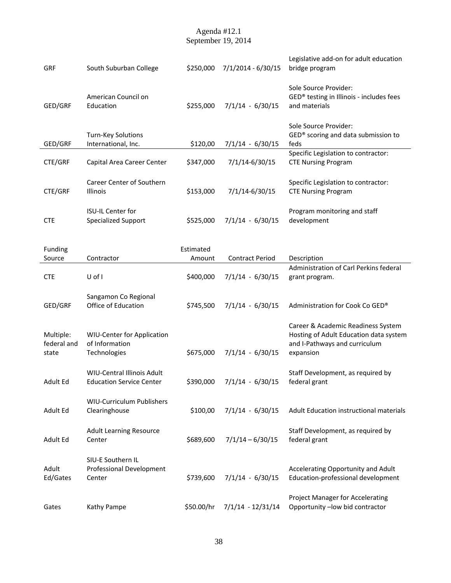| GRF                               | South Suburban College                                              | \$250,000           | 7/1/2014 - 6/30/15     | Legislative add-on for adult education<br>bridge program                                                                   |
|-----------------------------------|---------------------------------------------------------------------|---------------------|------------------------|----------------------------------------------------------------------------------------------------------------------------|
| GED/GRF                           | American Council on<br>Education                                    | \$255,000           | $7/1/14 - 6/30/15$     | Sole Source Provider:<br>GED® testing in Illinois - includes fees<br>and materials                                         |
| GED/GRF                           | Turn-Key Solutions<br>International, Inc.                           | \$120,00            | $7/1/14 - 6/30/15$     | Sole Source Provider:<br>GED® scoring and data submission to<br>feds                                                       |
| CTE/GRF                           | Capital Area Career Center                                          | \$347,000           | 7/1/14-6/30/15         | Specific Legislation to contractor:<br><b>CTE Nursing Program</b>                                                          |
| CTE/GRF                           | Career Center of Southern<br>Illinois                               | \$153,000           | 7/1/14-6/30/15         | Specific Legislation to contractor:<br><b>CTE Nursing Program</b>                                                          |
| <b>CTE</b>                        | <b>ISU-IL Center for</b><br><b>Specialized Support</b>              | \$525,000           | $7/1/14 - 6/30/15$     | Program monitoring and staff<br>development                                                                                |
| Funding<br>Source                 | Contractor                                                          | Estimated<br>Amount | <b>Contract Period</b> | Description                                                                                                                |
| <b>CTE</b>                        | U of I                                                              | \$400,000           | $7/1/14 - 6/30/15$     | Administration of Carl Perkins federal<br>grant program.                                                                   |
| GED/GRF                           | Sangamon Co Regional<br>Office of Education                         | \$745,500           | $7/1/14 - 6/30/15$     | Administration for Cook Co GED®                                                                                            |
| Multiple:<br>federal and<br>state | <b>WIU-Center for Application</b><br>of Information<br>Technologies | \$675,000           | $7/1/14 - 6/30/15$     | Career & Academic Readiness System<br>Hosting of Adult Education data system<br>and I-Pathways and curriculum<br>expansion |
| Adult Ed                          | WIU-Central Illinois Adult<br><b>Education Service Center</b>       | \$390,000           | $7/1/14 - 6/30/15$     | Staff Development, as required by<br>federal grant                                                                         |
| Adult Ed                          | WIU-Curriculum Publishers<br>Clearinghouse                          | \$100,00            | $7/1/14 - 6/30/15$     | Adult Education instructional materials                                                                                    |
| Adult Ed                          | <b>Adult Learning Resource</b><br>Center                            | \$689,600           | $7/1/14 - 6/30/15$     | Staff Development, as required by<br>federal grant                                                                         |
| Adult<br>Ed/Gates                 | SIU-E Southern IL<br>Professional Development<br>Center             | \$739,600           | $7/1/14 - 6/30/15$     | Accelerating Opportunity and Adult<br>Education-professional development                                                   |
| Gates                             | Kathy Pampe                                                         | \$50.00/hr          | $7/1/14 - 12/31/14$    | Project Manager for Accelerating<br>Opportunity -low bid contractor                                                        |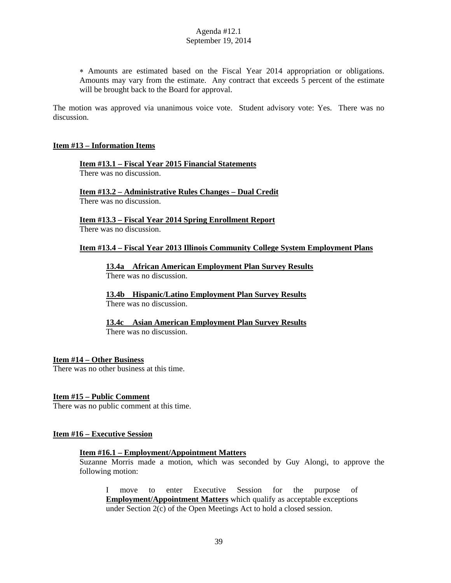Amounts are estimated based on the Fiscal Year 2014 appropriation or obligations. Amounts may vary from the estimate. Any contract that exceeds 5 percent of the estimate will be brought back to the Board for approval.

The motion was approved via unanimous voice vote. Student advisory vote: Yes. There was no discussion.

### **Item #13 – Information Items**

**Item #13.1 – Fiscal Year 2015 Financial Statements**  There was no discussion.

**Item #13.2 – Administrative Rules Changes – Dual Credit**  There was no discussion.

**Item #13.3 – Fiscal Year 2014 Spring Enrollment Report**  There was no discussion.

#### **Item #13.4 – Fiscal Year 2013 Illinois Community College System Employment Plans**

 **13.4a African American Employment Plan Survey Results**  There was no discussion.

**13.4b Hispanic/Latino Employment Plan Survey Results**  There was no discussion.

 **13.4c Asian American Employment Plan Survey Results**  There was no discussion.

# **Item #14 – Other Business**

There was no other business at this time.

#### **Item #15 – Public Comment**

There was no public comment at this time.

#### **Item #16 – Executive Session**

#### **Item #16.1 – Employment/Appointment Matters**

Suzanne Morris made a motion, which was seconded by Guy Alongi, to approve the following motion:

I move to enter Executive Session for the purpose of **Employment/Appointment Matters** which qualify as acceptable exceptions under Section 2(c) of the Open Meetings Act to hold a closed session.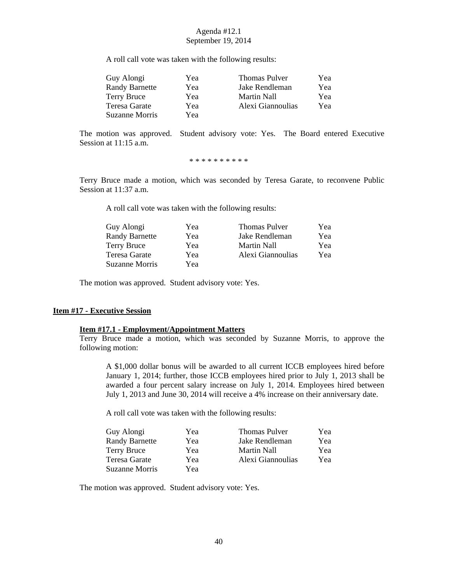A roll call vote was taken with the following results:

| Guy Alongi            | Yea | <b>Thomas Pulver</b> | Yea |
|-----------------------|-----|----------------------|-----|
| <b>Randy Barnette</b> | Yea | Jake Rendleman       | Yea |
| <b>Terry Bruce</b>    | Yea | Martin Nall          | Yea |
| Teresa Garate         | Yea | Alexi Giannoulias    | Yea |
| Suzanne Morris        | Yea |                      |     |

The motion was approved. Student advisory vote: Yes. The Board entered Executive Session at 11:15 a.m.

\* \* \* \* \* \* \* \* \*

Terry Bruce made a motion, which was seconded by Teresa Garate, to reconvene Public Session at 11:37 a.m.

A roll call vote was taken with the following results:

| Guy Alongi            | Yea | <b>Thomas Pulver</b> | Yea |
|-----------------------|-----|----------------------|-----|
| <b>Randy Barnette</b> | Yea | Jake Rendleman       | Yea |
| Terry Bruce           | Yea | Martin Nall          | Yea |
| Teresa Garate         | Yea | Alexi Giannoulias    | Yea |
| Suzanne Morris        | Yea |                      |     |

The motion was approved. Student advisory vote: Yes.

#### **Item #17 - Executive Session**

# **Item #17.1 - Employment/Appointment Matters**

Terry Bruce made a motion, which was seconded by Suzanne Morris, to approve the following motion:

A \$1,000 dollar bonus will be awarded to all current ICCB employees hired before January 1, 2014; further, those ICCB employees hired prior to July 1, 2013 shall be awarded a four percent salary increase on July 1, 2014. Employees hired between July 1, 2013 and June 30, 2014 will receive a 4% increase on their anniversary date.

A roll call vote was taken with the following results:

| Yea | <b>Thomas Pulver</b> | Yea |
|-----|----------------------|-----|
| Yea | Jake Rendleman       | Yea |
| Yea | Martin Nall          | Yea |
| Yea | Alexi Giannoulias    | Yea |
| Yea |                      |     |
|     |                      |     |

The motion was approved. Student advisory vote: Yes.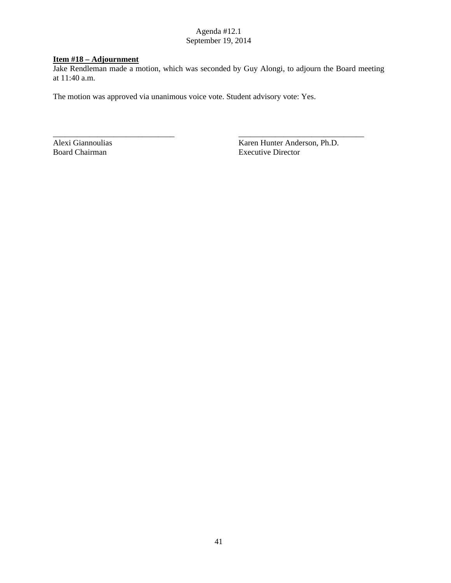# **Item #18 – Adjournment**

Jake Rendleman made a motion, which was seconded by Guy Alongi, to adjourn the Board meeting at 11:40 a.m.

\_\_\_\_\_\_\_\_\_\_\_\_\_\_\_\_\_\_\_\_\_\_\_\_\_\_\_\_\_\_ \_\_\_\_\_\_\_\_\_\_\_\_\_\_\_\_\_\_\_\_\_\_\_\_\_\_\_\_\_\_\_

The motion was approved via unanimous voice vote. Student advisory vote: Yes.

Alexi Giannoulias Karen Hunter Anderson, Ph.D. Board Chairman Executive Director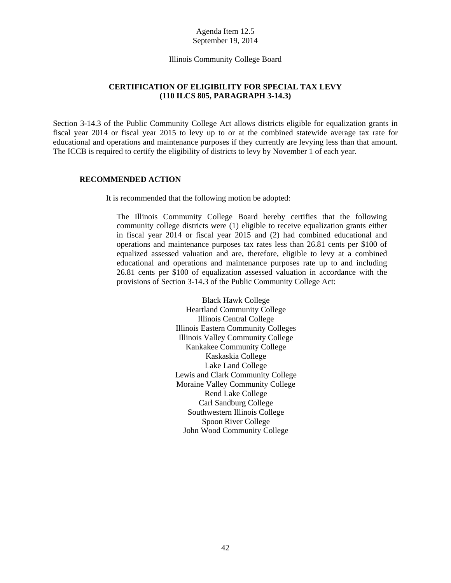#### [Illinois Community College Board](#page-1-0)

# **CERTIFICATION OF ELIGIBILITY FOR SPECIAL TAX LEVY (110 ILCS 805, PARAGRAPH 3-14.3)**

<span id="page-44-0"></span>Section 3-14.3 of the Public Community College Act allows districts eligible for equalization grants in fiscal year 2014 or fiscal year 2015 to levy up to or at the combined statewide average tax rate for educational and operations and maintenance purposes if they currently are levying less than that amount. The ICCB is required to certify the eligibility of districts to levy by November 1 of each year.

### **RECOMMENDED ACTION**

It is recommended that the following motion be adopted:

The Illinois Community College Board hereby certifies that the following community college districts were (1) eligible to receive equalization grants either in fiscal year 2014 or fiscal year 2015 and (2) had combined educational and operations and maintenance purposes tax rates less than 26.81 cents per \$100 of equalized assessed valuation and are, therefore, eligible to levy at a combined educational and operations and maintenance purposes rate up to and including 26.81 cents per \$100 of equalization assessed valuation in accordance with the provisions of Section 3-14.3 of the Public Community College Act:

> Black Hawk College Heartland Community College Illinois Central College Illinois Eastern Community Colleges Illinois Valley Community College Kankakee Community College Kaskaskia College Lake Land College Lewis and Clark Community College Moraine Valley Community College Rend Lake College Carl Sandburg College Southwestern Illinois College Spoon River College John Wood Community College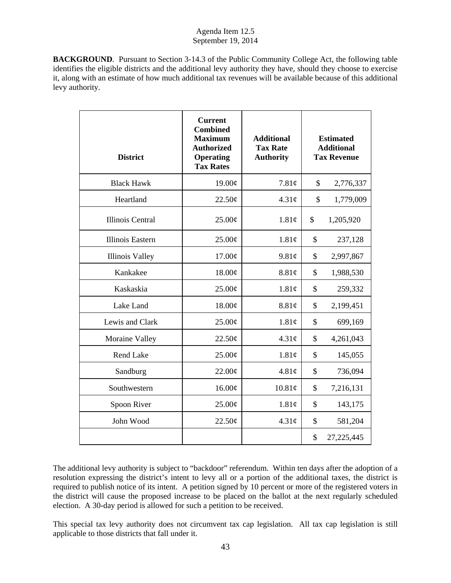**BACKGROUND**. Pursuant to Section 3-14.3 of the Public Community College Act, the following table identifies the eligible districts and the additional levy authority they have, should they choose to exercise it, along with an estimate of how much additional tax revenues will be available because of this additional levy authority.

| <b>District</b>         | <b>Current</b><br><b>Combined</b><br><b>Maximum</b><br><b>Authorized</b><br><b>Operating</b><br><b>Tax Rates</b> | <b>Additional</b><br><b>Tax Rate</b><br><b>Authority</b> | <b>Estimated</b><br><b>Additional</b><br><b>Tax Revenue</b> |              |
|-------------------------|------------------------------------------------------------------------------------------------------------------|----------------------------------------------------------|-------------------------------------------------------------|--------------|
| <b>Black Hawk</b>       | 19.00¢                                                                                                           | 7.81¢                                                    | \$                                                          | 2,776,337    |
| Heartland               | 22.50¢                                                                                                           | 4.31¢                                                    | \$                                                          | 1,779,009    |
| <b>Illinois Central</b> | $25.00\phi$                                                                                                      | 1.81¢                                                    | \$                                                          | 1,205,920    |
| <b>Illinois Eastern</b> | 25.00¢                                                                                                           | 1.81¢                                                    | \$                                                          | 237,128      |
| <b>Illinois Valley</b>  | 17.00¢                                                                                                           | 9.81¢                                                    | \$                                                          | 2,997,867    |
| Kankakee                | 18.00¢                                                                                                           | 8.81¢                                                    | \$                                                          | 1,988,530    |
| Kaskaskia               | $25.00\text{\e}$                                                                                                 | 1.81¢                                                    | \$                                                          | 259,332      |
| Lake Land               | 18.00¢                                                                                                           | 8.81¢                                                    | \$                                                          | 2,199,451    |
| Lewis and Clark         | 25.00¢                                                                                                           | 1.81¢                                                    | \$                                                          | 699,169      |
| Moraine Valley          | 22.50¢                                                                                                           | 4.31¢                                                    | \$                                                          | 4,261,043    |
| <b>Rend Lake</b>        | $25.00\text{\e}$                                                                                                 | 1.81¢                                                    | \$                                                          | 145,055      |
| Sandburg                | 22.00¢                                                                                                           | 4.81¢                                                    | \$                                                          | 736,094      |
| Southwestern            | 16.00¢                                                                                                           | 10.81¢                                                   | \$                                                          | 7,216,131    |
| Spoon River             | 25.00¢                                                                                                           | 1.81¢                                                    | \$                                                          | 143,175      |
| John Wood               | 22.50¢                                                                                                           | 4.31¢                                                    | \$                                                          | 581,204      |
|                         |                                                                                                                  |                                                          | \$                                                          | 27, 225, 445 |

The additional levy authority is subject to "backdoor" referendum. Within ten days after the adoption of a resolution expressing the district's intent to levy all or a portion of the additional taxes, the district is required to publish notice of its intent. A petition signed by 10 percent or more of the registered voters in the district will cause the proposed increase to be placed on the ballot at the next regularly scheduled election. A 30-day period is allowed for such a petition to be received.

This special tax levy authority does not circumvent tax cap legislation. All tax cap legislation is still applicable to those districts that fall under it.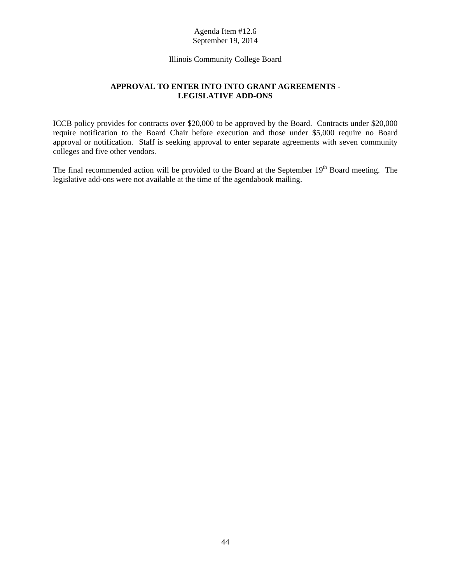# [Illinois Community College Board](#page-1-0)

# **APPROVAL TO ENTER INTO INTO GRANT AGREEMENTS - LEGISLATIVE ADD-ONS**

<span id="page-46-0"></span>ICCB policy provides for contracts over \$20,000 to be approved by the Board. Contracts under \$20,000 require notification to the Board Chair before execution and those under \$5,000 require no Board approval or notification. Staff is seeking approval to enter separate agreements with seven community colleges and five other vendors.

The final recommended action will be provided to the Board at the September  $19<sup>th</sup>$  Board meeting. The legislative add-ons were not available at the time of the agendabook mailing.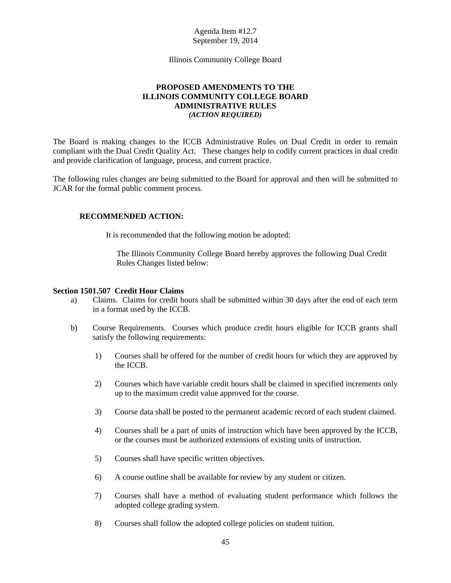[Illinois Community College Board](#page-1-0)

# **PROPOSED AMENDMENTS TO THE ILLINOIS COMMUNITY COLLEGE BOARD ADMINISTRATIVE RULES**  *(ACTION REQUIRED)*

<span id="page-47-0"></span>The Board is making changes to the ICCB Administrative Rules on Dual Credit in order to remain compliant with the Dual Credit Quality Act. These changes help to codify current practices in dual credit and provide clarification of language, process, and current practice.

The following rules changes are being submitted to the Board for approval and then will be submitted to JCAR for the formal public comment process.

# **RECOMMENDED ACTION:**

It is recommended that the following motion be adopted:

The Illinois Community College Board hereby approves the following Dual Credit Rules Changes listed below:

### **Section 1501.507 Credit Hour Claims**

- a) Claims. Claims for credit hours shall be submitted within 30 days after the end of each term in a format used by the ICCB.
- b) Course Requirements. Courses which produce credit hours eligible for ICCB grants shall satisfy the following requirements:
	- 1) Courses shall be offered for the number of credit hours for which they are approved by the ICCB.
	- 2) Courses which have variable credit hours shall be claimed in specified increments only up to the maximum credit value approved for the course.
	- 3) Course data shall be posted to the permanent academic record of each student claimed.
	- 4) Courses shall be a part of units of instruction which have been approved by the ICCB, or the courses must be authorized extensions of existing units of instruction.
	- 5) Courses shall have specific written objectives.
	- 6) A course outline shall be available for review by any student or citizen.
	- 7) Courses shall have a method of evaluating student performance which follows the adopted college grading system.
	- 8) Courses shall follow the adopted college policies on student tuition.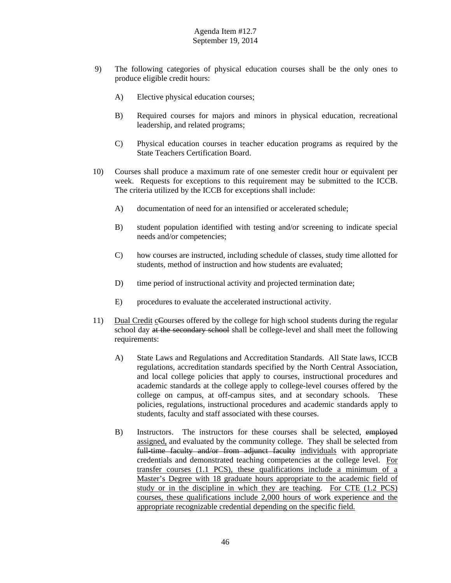- 9) The following categories of physical education courses shall be the only ones to produce eligible credit hours:
	- A) Elective physical education courses;
	- B) Required courses for majors and minors in physical education, recreational leadership, and related programs;
	- C) Physical education courses in teacher education programs as required by the State Teachers Certification Board.
- 10) Courses shall produce a maximum rate of one semester credit hour or equivalent per week. Requests for exceptions to this requirement may be submitted to the ICCB. The criteria utilized by the ICCB for exceptions shall include:
	- A) documentation of need for an intensified or accelerated schedule;
	- B) student population identified with testing and/or screening to indicate special needs and/or competencies;
	- C) how courses are instructed, including schedule of classes, study time allotted for students, method of instruction and how students are evaluated;
	- D) time period of instructional activity and projected termination date;
	- E) procedures to evaluate the accelerated instructional activity.
- 11) Dual Credit cCourses offered by the college for high school students during the regular school day at the secondary school shall be college-level and shall meet the following requirements:
	- A) State Laws and Regulations and Accreditation Standards. All State laws, ICCB regulations, accreditation standards specified by the North Central Association, and local college policies that apply to courses, instructional procedures and academic standards at the college apply to college-level courses offered by the college on campus, at off-campus sites, and at secondary schools. These policies, regulations, instructional procedures and academic standards apply to students, faculty and staff associated with these courses.
	- B) Instructors. The instructors for these courses shall be selected, employed assigned, and evaluated by the community college. They shall be selected from full-time faculty and/or from adjunct faculty individuals with appropriate credentials and demonstrated teaching competencies at the college level. For transfer courses (1.1 PCS), these qualifications include a minimum of a Master's Degree with 18 graduate hours appropriate to the academic field of study or in the discipline in which they are teaching. For CTE (1.2 PCS) courses, these qualifications include 2,000 hours of work experience and the appropriate recognizable credential depending on the specific field.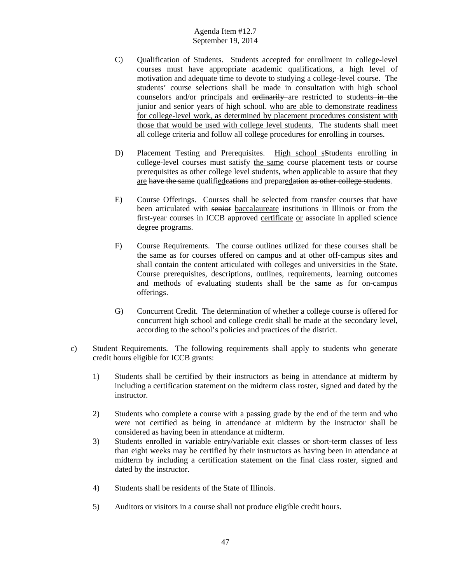- C) Qualification of Students. Students accepted for enrollment in college-level courses must have appropriate academic qualifications, a high level of motivation and adequate time to devote to studying a college-level course. The students' course selections shall be made in consultation with high school counselors and/or principals and ordinarily are restricted to students in the junior and senior years of high school, who are able to demonstrate readiness for college-level work, as determined by placement procedures consistent with those that would be used with college level students. The students shall meet all college criteria and follow all college procedures for enrolling in courses.
- D) Placement Testing and Prerequisites. High school sStudents enrolling in college-level courses must satisfy the same course placement tests or course prerequisites as other college level students, when applicable to assure that they are have the same qualifiedcations and preparedation as other college students.
- E) Course Offerings. Courses shall be selected from transfer courses that have been articulated with senior baccalaureate institutions in Illinois or from the first-year courses in ICCB approved certificate or associate in applied science degree programs.
- F) Course Requirements. The course outlines utilized for these courses shall be the same as for courses offered on campus and at other off-campus sites and shall contain the content articulated with colleges and universities in the State. Course prerequisites, descriptions, outlines, requirements, learning outcomes and methods of evaluating students shall be the same as for on-campus offerings.
- G) Concurrent Credit. The determination of whether a college course is offered for concurrent high school and college credit shall be made at the secondary level, according to the school's policies and practices of the district.
- c) Student Requirements. The following requirements shall apply to students who generate credit hours eligible for ICCB grants:
	- 1) Students shall be certified by their instructors as being in attendance at midterm by including a certification statement on the midterm class roster, signed and dated by the instructor.
	- 2) Students who complete a course with a passing grade by the end of the term and who were not certified as being in attendance at midterm by the instructor shall be considered as having been in attendance at midterm.
	- 3) Students enrolled in variable entry/variable exit classes or short-term classes of less than eight weeks may be certified by their instructors as having been in attendance at midterm by including a certification statement on the final class roster, signed and dated by the instructor.
	- 4) Students shall be residents of the State of Illinois.
	- 5) Auditors or visitors in a course shall not produce eligible credit hours.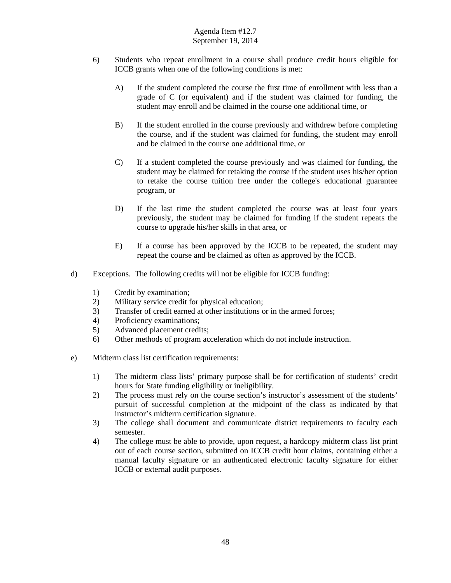- 6) Students who repeat enrollment in a course shall produce credit hours eligible for ICCB grants when one of the following conditions is met:
	- A) If the student completed the course the first time of enrollment with less than a grade of C (or equivalent) and if the student was claimed for funding, the student may enroll and be claimed in the course one additional time, or
	- B) If the student enrolled in the course previously and withdrew before completing the course, and if the student was claimed for funding, the student may enroll and be claimed in the course one additional time, or
	- C) If a student completed the course previously and was claimed for funding, the student may be claimed for retaking the course if the student uses his/her option to retake the course tuition free under the college's educational guarantee program, or
	- D) If the last time the student completed the course was at least four years previously, the student may be claimed for funding if the student repeats the course to upgrade his/her skills in that area, or
	- E) If a course has been approved by the ICCB to be repeated, the student may repeat the course and be claimed as often as approved by the ICCB.
- d) Exceptions. The following credits will not be eligible for ICCB funding:
	- 1) Credit by examination;
	- 2) Military service credit for physical education;
	- 3) Transfer of credit earned at other institutions or in the armed forces;
	- 4) Proficiency examinations;
	- 5) Advanced placement credits;
	- 6) Other methods of program acceleration which do not include instruction.
- e) Midterm class list certification requirements:
	- 1) The midterm class lists' primary purpose shall be for certification of students' credit hours for State funding eligibility or ineligibility.
	- 2) The process must rely on the course section's instructor's assessment of the students' pursuit of successful completion at the midpoint of the class as indicated by that instructor's midterm certification signature.
	- 3) The college shall document and communicate district requirements to faculty each semester.
	- 4) The college must be able to provide, upon request, a hardcopy midterm class list print out of each course section, submitted on ICCB credit hour claims, containing either a manual faculty signature or an authenticated electronic faculty signature for either ICCB or external audit purposes.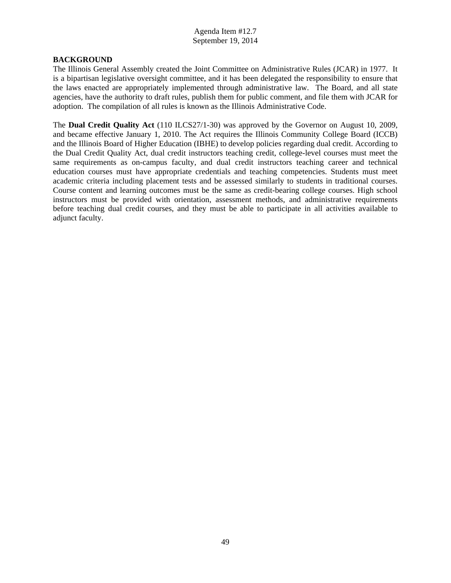#### **BACKGROUND**

The Illinois General Assembly created the Joint Committee on Administrative Rules (JCAR) in 1977. It is a bipartisan legislative oversight committee, and it has been delegated the responsibility to ensure that the laws enacted are appropriately implemented through administrative law. The Board, and all state agencies, have the authority to draft rules, publish them for public comment, and file them with JCAR for adoption. The compilation of all rules is known as the Illinois Administrative Code.

The **Dual Credit Quality Act** (110 ILCS27/1-30) was approved by the Governor on August 10, 2009, and became effective January 1, 2010. The Act requires the Illinois Community College Board (ICCB) and the Illinois Board of Higher Education (IBHE) to develop policies regarding dual credit. According to the Dual Credit Quality Act, dual credit instructors teaching credit, college-level courses must meet the same requirements as on-campus faculty, and dual credit instructors teaching career and technical education courses must have appropriate credentials and teaching competencies. Students must meet academic criteria including placement tests and be assessed similarly to students in traditional courses. Course content and learning outcomes must be the same as credit-bearing college courses. High school instructors must be provided with orientation, assessment methods, and administrative requirements before teaching dual credit courses, and they must be able to participate in all activities available to adjunct faculty.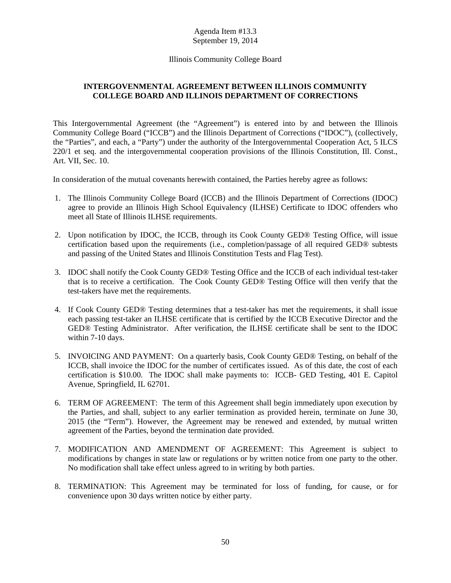# [Illinois Community College Board](#page-1-0)

# <span id="page-52-0"></span>**INTERGOVENMENTAL AGREEMENT BETWEEN ILLINOIS COMMUNITY COLLEGE BOARD AND ILLINOIS DEPARTMENT OF CORRECTIONS**

This Intergovernmental Agreement (the "Agreement") is entered into by and between the Illinois Community College Board ("ICCB") and the Illinois Department of Corrections ("IDOC"), (collectively, the "Parties", and each, a "Party") under the authority of the Intergovernmental Cooperation Act, 5 ILCS 220/1 et seq. and the intergovernmental cooperation provisions of the Illinois Constitution, Ill. Const., Art. VII, Sec. 10.

In consideration of the mutual covenants herewith contained, the Parties hereby agree as follows:

- 1. The Illinois Community College Board (ICCB) and the Illinois Department of Corrections (IDOC) agree to provide an Illinois High School Equivalency (ILHSE) Certificate to IDOC offenders who meet all State of Illinois ILHSE requirements.
- 2. Upon notification by IDOC, the ICCB, through its Cook County GED® Testing Office, will issue certification based upon the requirements (i.e., completion/passage of all required GED® subtests and passing of the United States and Illinois Constitution Tests and Flag Test).
- 3. IDOC shall notify the Cook County GED® Testing Office and the ICCB of each individual test-taker that is to receive a certification. The Cook County GED® Testing Office will then verify that the test-takers have met the requirements.
- 4. If Cook County GED® Testing determines that a test-taker has met the requirements, it shall issue each passing test-taker an ILHSE certificate that is certified by the ICCB Executive Director and the GED® Testing Administrator. After verification, the ILHSE certificate shall be sent to the IDOC within 7-10 days.
- 5. INVOICING AND PAYMENT: On a quarterly basis, Cook County GED® Testing, on behalf of the ICCB, shall invoice the IDOC for the number of certificates issued. As of this date, the cost of each certification is \$10.00. The IDOC shall make payments to: ICCB- GED Testing, 401 E. Capitol Avenue, Springfield, IL 62701.
- 6. TERM OF AGREEMENT: The term of this Agreement shall begin immediately upon execution by the Parties, and shall, subject to any earlier termination as provided herein, terminate on June 30, 2015 (the "Term"). However, the Agreement may be renewed and extended, by mutual written agreement of the Parties, beyond the termination date provided.
- 7. MODIFICATION AND AMENDMENT OF AGREEMENT: This Agreement is subject to modifications by changes in state law or regulations or by written notice from one party to the other. No modification shall take effect unless agreed to in writing by both parties.
- 8. TERMINATION: This Agreement may be terminated for loss of funding, for cause, or for convenience upon 30 days written notice by either party.